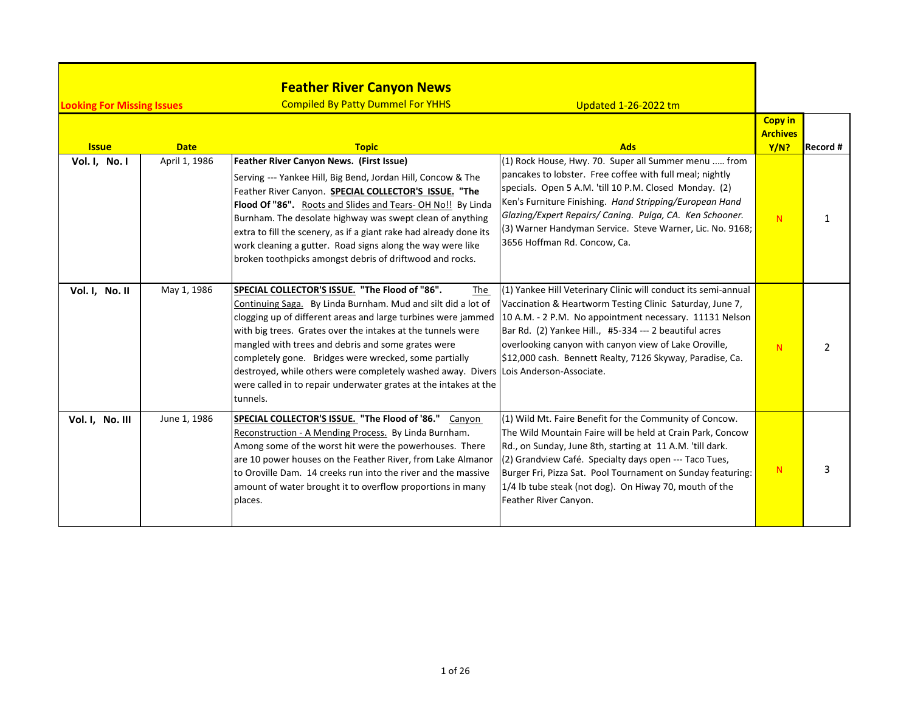| <b>Looking For Missing Issues</b> |               | <b>Feather River Canyon News</b><br><b>Compiled By Patty Dummel For YHHS</b>                                                                                                                                                                                                                                                                                                                                                                                                                                                                 | <b>Updated 1-26-2022 tm</b>                                                                                                                                                                                                                                                                                                                                                                      |                                           |          |
|-----------------------------------|---------------|----------------------------------------------------------------------------------------------------------------------------------------------------------------------------------------------------------------------------------------------------------------------------------------------------------------------------------------------------------------------------------------------------------------------------------------------------------------------------------------------------------------------------------------------|--------------------------------------------------------------------------------------------------------------------------------------------------------------------------------------------------------------------------------------------------------------------------------------------------------------------------------------------------------------------------------------------------|-------------------------------------------|----------|
| <b>Issue</b>                      | <b>Date</b>   | <b>Topic</b>                                                                                                                                                                                                                                                                                                                                                                                                                                                                                                                                 | <b>Ads</b>                                                                                                                                                                                                                                                                                                                                                                                       | <b>Copy in</b><br><b>Archives</b><br>Y/N? | Record # |
| Vol. I, No. I                     | April 1, 1986 | Feather River Canyon News. (First Issue)<br>Serving --- Yankee Hill, Big Bend, Jordan Hill, Concow & The<br>Feather River Canyon. SPECIAL COLLECTOR'S ISSUE. "The<br>Flood Of "86". Roots and Slides and Tears-OH No!! By Linda<br>Burnham. The desolate highway was swept clean of anything<br>extra to fill the scenery, as if a giant rake had already done its<br>work cleaning a gutter. Road signs along the way were like<br>broken toothpicks amongst debris of driftwood and rocks.                                                 | $(1)$ Rock House, Hwy. 70. Super all Summer menu  from<br>pancakes to lobster. Free coffee with full meal; nightly<br>specials. Open 5 A.M. 'till 10 P.M. Closed Monday. (2)<br>Ken's Furniture Finishing. Hand Stripping/European Hand<br>Glazing/Expert Repairs/ Caning. Pulga, CA. Ken Schooner.<br>(3) Warner Handyman Service. Steve Warner, Lic. No. 9168;<br>3656 Hoffman Rd. Concow, Ca. | N                                         | 1        |
| Vol. I, No. II                    | May 1, 1986   | SPECIAL COLLECTOR'S ISSUE. "The Flood of "86".<br>The<br>Continuing Saga. By Linda Burnham. Mud and silt did a lot of<br>clogging up of different areas and large turbines were jammed<br>with big trees. Grates over the intakes at the tunnels were<br>mangled with trees and debris and some grates were<br>completely gone. Bridges were wrecked, some partially<br>destroyed, while others were completely washed away. Divers Lois Anderson-Associate.<br>were called in to repair underwater grates at the intakes at the<br>tunnels. | (1) Yankee Hill Veterinary Clinic will conduct its semi-annual<br>Vaccination & Heartworm Testing Clinic Saturday, June 7,<br>10 A.M. - 2 P.M. No appointment necessary. 11131 Nelson<br>Bar Rd. (2) Yankee Hill., #5-334 --- 2 beautiful acres<br>overlooking canyon with canyon view of Lake Oroville,<br>\$12,000 cash. Bennett Realty, 7126 Skyway, Paradise, Ca.                            | N                                         | 2        |
| Vol. I, No. III                   | June 1, 1986  | SPECIAL COLLECTOR'S ISSUE. "The Flood of '86." Canyon<br>Reconstruction - A Mending Process. By Linda Burnham.<br>Among some of the worst hit were the powerhouses. There<br>are 10 power houses on the Feather River, from Lake Almanor<br>to Oroville Dam. 14 creeks run into the river and the massive<br>amount of water brought it to overflow proportions in many<br>places.                                                                                                                                                           | (1) Wild Mt. Faire Benefit for the Community of Concow.<br>The Wild Mountain Faire will be held at Crain Park, Concow<br>Rd., on Sunday, June 8th, starting at 11 A.M. 'till dark.<br>(2) Grandview Café. Specialty days open --- Taco Tues,<br>Burger Fri, Pizza Sat. Pool Tournament on Sunday featuring:<br>1/4 lb tube steak (not dog). On Hiway 70, mouth of the<br>Feather River Canyon.   | N                                         | 3        |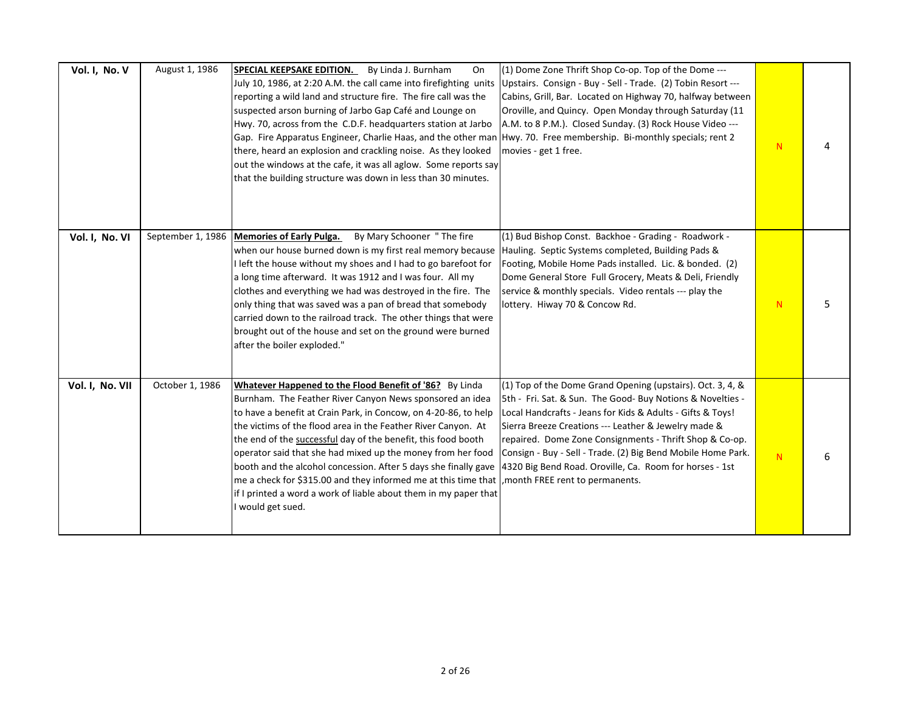| Vol. I, No. V   | August 1, 1986    | SPECIAL KEEPSAKE EDITION. By Linda J. Burnham<br>On<br>July 10, 1986, at 2:20 A.M. the call came into firefighting units<br>reporting a wild land and structure fire. The fire call was the<br>suspected arson burning of Jarbo Gap Café and Lounge on<br>Hwy. 70, across from the C.D.F. headquarters station at Jarbo<br>Gap. Fire Apparatus Engineer, Charlie Haas, and the other man Hwy. 70. Free membership. Bi-monthly specials; rent 2<br>there, heard an explosion and crackling noise. As they looked<br>out the windows at the cafe, it was all aglow. Some reports say<br>that the building structure was down in less than 30 minutes.    | (1) Dome Zone Thrift Shop Co-op. Top of the Dome ---<br>Upstairs. Consign - Buy - Sell - Trade. (2) Tobin Resort ---<br>Cabins, Grill, Bar. Located on Highway 70, halfway between<br>Oroville, and Quincy. Open Monday through Saturday (11<br>A.M. to 8 P.M.). Closed Sunday. (3) Rock House Video ---<br>movies - get 1 free.                                                                                                     | N |   |
|-----------------|-------------------|--------------------------------------------------------------------------------------------------------------------------------------------------------------------------------------------------------------------------------------------------------------------------------------------------------------------------------------------------------------------------------------------------------------------------------------------------------------------------------------------------------------------------------------------------------------------------------------------------------------------------------------------------------|--------------------------------------------------------------------------------------------------------------------------------------------------------------------------------------------------------------------------------------------------------------------------------------------------------------------------------------------------------------------------------------------------------------------------------------|---|---|
| Vol. I, No. VI  | September 1, 1986 | By Mary Schooner "The fire<br><b>Memories of Early Pulga.</b><br>when our house burned down is my first real memory because<br>I left the house without my shoes and I had to go barefoot for<br>a long time afterward. It was 1912 and I was four. All my<br>clothes and everything we had was destroyed in the fire. The<br>only thing that was saved was a pan of bread that somebody<br>carried down to the railroad track. The other things that were<br>brought out of the house and set on the ground were burned<br>after the boiler exploded."                                                                                                | (1) Bud Bishop Const. Backhoe - Grading - Roadwork -<br>Hauling. Septic Systems completed, Building Pads &<br>Footing, Mobile Home Pads installed. Lic. & bonded. (2)<br>Dome General Store Full Grocery, Meats & Deli, Friendly<br>service & monthly specials. Video rentals --- play the<br>lottery. Hiway 70 & Concow Rd.                                                                                                         | N | 5 |
| Vol. I, No. VII | October 1, 1986   | Whatever Happened to the Flood Benefit of '86? By Linda<br>Burnham. The Feather River Canyon News sponsored an idea<br>to have a benefit at Crain Park, in Concow, on 4-20-86, to help<br>the victims of the flood area in the Feather River Canyon. At<br>the end of the successful day of the benefit, this food booth<br>operator said that she had mixed up the money from her food<br>booth and the alcohol concession. After 5 days she finally gave<br>me a check for \$315.00 and they informed me at this time that , month FREE rent to permanents.<br>if I printed a word a work of liable about them in my paper that<br>I would get sued. | (1) Top of the Dome Grand Opening (upstairs). Oct. 3, 4, &<br>5th - Fri. Sat. & Sun. The Good- Buy Notions & Novelties -<br>Local Handcrafts - Jeans for Kids & Adults - Gifts & Toys!<br>Sierra Breeze Creations --- Leather & Jewelry made &<br>repaired. Dome Zone Consignments - Thrift Shop & Co-op.<br>Consign - Buy - Sell - Trade. (2) Big Bend Mobile Home Park.<br>4320 Big Bend Road. Oroville, Ca. Room for horses - 1st | N | 6 |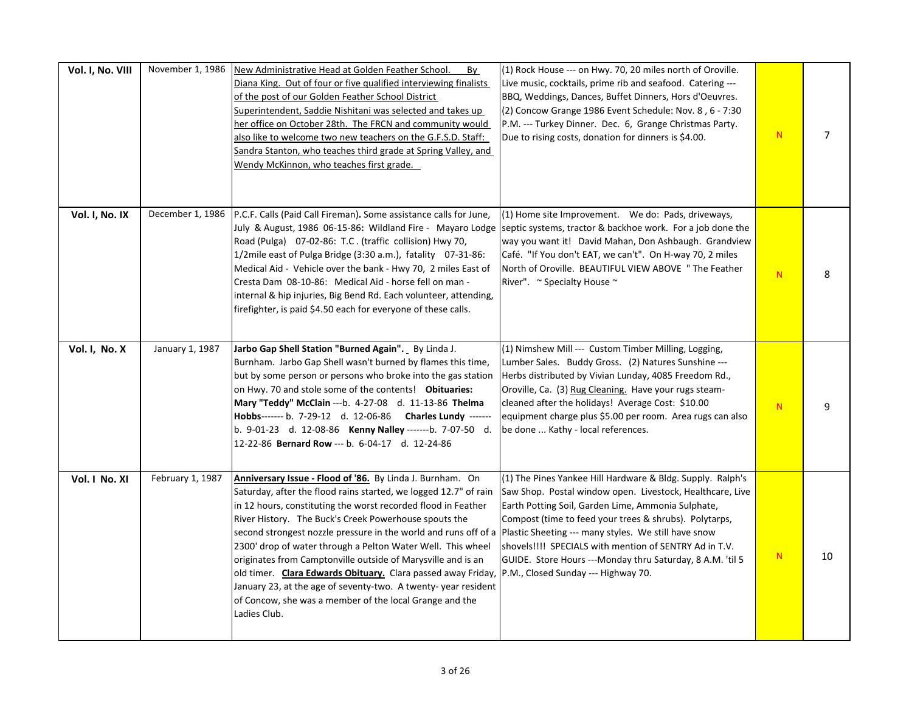| Vol. I, No. VIII | November 1, 1986 | New Administrative Head at Golden Feather School.<br>By<br>Diana King. Out of four or five qualified interviewing finalists<br>of the post of our Golden Feather School District<br>Superintendent, Saddie Nishitani was selected and takes up<br>her office on October 28th. The FRCN and community would<br>also like to welcome two new teachers on the G.F.S.D. Staff:<br>Sandra Stanton, who teaches third grade at Spring Valley, and<br>Wendy McKinnon, who teaches first grade.                                                                                                                                                                                                                                                                         | (1) Rock House --- on Hwy. 70, 20 miles north of Oroville.<br>Live music, cocktails, prime rib and seafood. Catering ---<br>BBQ, Weddings, Dances, Buffet Dinners, Hors d'Oeuvres.<br>(2) Concow Grange 1986 Event Schedule: Nov. 8, 6 - 7:30<br>P.M. --- Turkey Dinner. Dec. 6, Grange Christmas Party.<br>Due to rising costs, donation for dinners is \$4.00.                      | N  | $\overline{7}$ |
|------------------|------------------|-----------------------------------------------------------------------------------------------------------------------------------------------------------------------------------------------------------------------------------------------------------------------------------------------------------------------------------------------------------------------------------------------------------------------------------------------------------------------------------------------------------------------------------------------------------------------------------------------------------------------------------------------------------------------------------------------------------------------------------------------------------------|---------------------------------------------------------------------------------------------------------------------------------------------------------------------------------------------------------------------------------------------------------------------------------------------------------------------------------------------------------------------------------------|----|----------------|
| Vol. I, No. IX   | December 1, 1986 | P.C.F. Calls (Paid Call Fireman). Some assistance calls for June,<br>July & August, 1986 06-15-86: Wildland Fire - Mayaro Lodge<br>Road (Pulga) 07-02-86: T.C. (traffic collision) Hwy 70,<br>1/2mile east of Pulga Bridge (3:30 a.m.), fatality 07-31-86:<br>Medical Aid - Vehicle over the bank - Hwy 70, 2 miles East of<br>Cresta Dam 08-10-86: Medical Aid - horse fell on man -<br>internal & hip injuries, Big Bend Rd. Each volunteer, attending,<br>firefighter, is paid \$4.50 each for everyone of these calls.                                                                                                                                                                                                                                      | (1) Home site Improvement. We do: Pads, driveways,<br>septic systems, tractor & backhoe work. For a job done the<br>way you want it! David Mahan, Don Ashbaugh. Grandview<br>Café. "If You don't EAT, we can't". On H-way 70, 2 miles<br>North of Oroville. BEAUTIFUL VIEW ABOVE "The Feather<br>River". ~ Specialty House ~                                                          | N  | 8              |
| Vol. I, No. X    | January 1, 1987  | Jarbo Gap Shell Station "Burned Again". By Linda J.<br>Burnham. Jarbo Gap Shell wasn't burned by flames this time,<br>but by some person or persons who broke into the gas station<br>on Hwy. 70 and stole some of the contents! Obituaries:<br>Mary "Teddy" McClain ---b. 4-27-08 d. 11-13-86 Thelma<br>Hobbs------- b. 7-29-12 d. 12-06-86 Charles Lundy -------<br>b. 9-01-23 d. 12-08-86 Kenny Nalley -------b. 7-07-50 d.<br>12-22-86 Bernard Row --- b. 6-04-17 d. 12-24-86                                                                                                                                                                                                                                                                               | (1) Nimshew Mill --- Custom Timber Milling, Logging,<br>Lumber Sales. Buddy Gross. (2) Natures Sunshine ---<br>Herbs distributed by Vivian Lunday, 4085 Freedom Rd.,<br>Oroville, Ca. (3) Rug Cleaning. Have your rugs steam-<br>cleaned after the holidays! Average Cost: \$10.00<br>equipment charge plus \$5.00 per room. Area rugs can also<br>be done  Kathy - local references. | N  | 9              |
| Vol. I No. XI    | February 1, 1987 | Anniversary Issue - Flood of '86. By Linda J. Burnham. On<br>Saturday, after the flood rains started, we logged 12.7" of rain<br>in 12 hours, constituting the worst recorded flood in Feather<br>River History. The Buck's Creek Powerhouse spouts the<br>second strongest nozzle pressure in the world and runs off of a  Plastic Sheeting --- many styles. We still have snow<br>2300' drop of water through a Pelton Water Well. This wheel<br>originates from Camptonville outside of Marysville and is an<br>old timer. Clara Edwards Obituary. Clara passed away Friday, P.M., Closed Sunday --- Highway 70.<br>January 23, at the age of seventy-two. A twenty-year resident<br>of Concow, she was a member of the local Grange and the<br>Ladies Club. | (1) The Pines Yankee Hill Hardware & Bldg. Supply. Ralph's<br>Saw Shop. Postal window open. Livestock, Healthcare, Live<br>Earth Potting Soil, Garden Lime, Ammonia Sulphate,<br>Compost (time to feed your trees & shrubs). Polytarps,<br>shovels!!!! SPECIALS with mention of SENTRY Ad in T.V.<br>GUIDE. Store Hours ---Monday thru Saturday, 8 A.M. 'til 5                        | N. | 10             |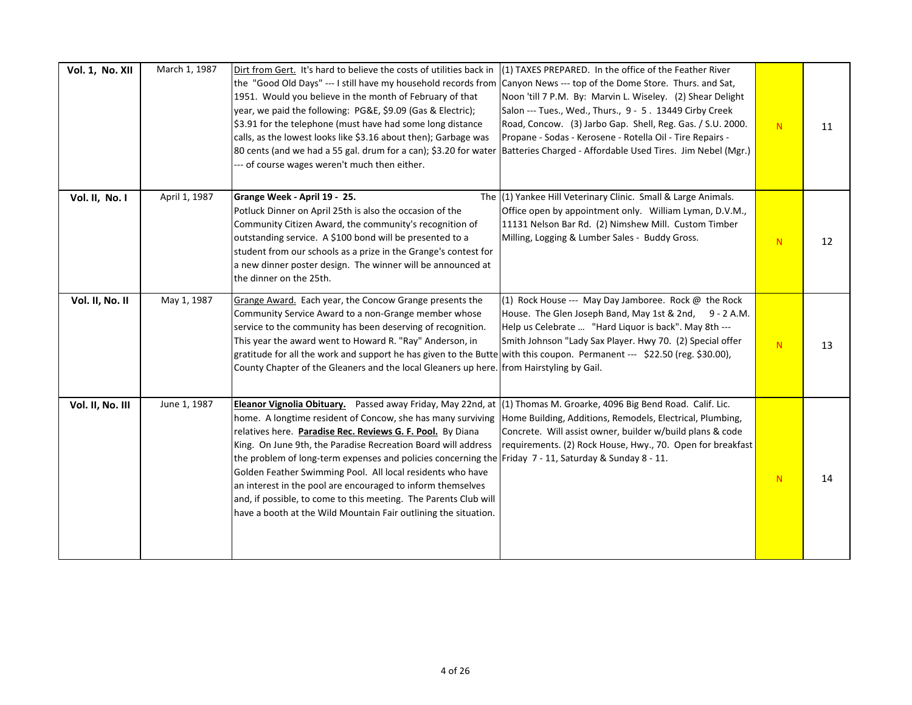| Vol. 1, No. XII  | March 1, 1987 | Dirt from Gert. It's hard to believe the costs of utilities back in<br>the "Good Old Days" --- I still have my household records from Canyon News --- top of the Dome Store. Thurs. and Sat,<br>1951. Would you believe in the month of February of that<br>year, we paid the following: PG&E, \$9.09 (Gas & Electric);<br>\$3.91 for the telephone (must have had some long distance<br>calls, as the lowest looks like \$3.16 about then); Garbage was<br>80 cents (and we had a 55 gal. drum for a can); \$3.20 for water  Batteries Charged - Affordable Used Tires. Jim Nebel (Mgr.)<br>--- of course wages weren't much then either.                                                       | (1) TAXES PREPARED. In the office of the Feather River<br>Noon 'till 7 P.M. By: Marvin L. Wiseley. (2) Shear Delight<br>Salon --- Tues., Wed., Thurs., 9 - 5. 13449 Cirby Creek<br>Road, Concow. (3) Jarbo Gap. Shell, Reg. Gas. / S.U. 2000.<br>Propane - Sodas - Kerosene - Rotella Oil - Tire Repairs - | N | 11 |
|------------------|---------------|--------------------------------------------------------------------------------------------------------------------------------------------------------------------------------------------------------------------------------------------------------------------------------------------------------------------------------------------------------------------------------------------------------------------------------------------------------------------------------------------------------------------------------------------------------------------------------------------------------------------------------------------------------------------------------------------------|------------------------------------------------------------------------------------------------------------------------------------------------------------------------------------------------------------------------------------------------------------------------------------------------------------|---|----|
| Vol. II, No. I   | April 1, 1987 | Grange Week - April 19 - 25.<br>Potluck Dinner on April 25th is also the occasion of the<br>Community Citizen Award, the community's recognition of<br>outstanding service. A \$100 bond will be presented to a<br>student from our schools as a prize in the Grange's contest for<br>a new dinner poster design. The winner will be announced at<br>the dinner on the 25th.                                                                                                                                                                                                                                                                                                                     | The (1) Yankee Hill Veterinary Clinic. Small & Large Animals.<br>Office open by appointment only. William Lyman, D.V.M.,<br>11131 Nelson Bar Rd. (2) Nimshew Mill. Custom Timber<br>Milling, Logging & Lumber Sales - Buddy Gross.                                                                         | N | 12 |
| Vol. II, No. II  | May 1, 1987   | Grange Award. Each year, the Concow Grange presents the<br>Community Service Award to a non-Grange member whose<br>service to the community has been deserving of recognition.<br>This year the award went to Howard R. "Ray" Anderson, in<br>gratitude for all the work and support he has given to the Butte with this coupon. Permanent --- \$22.50 (reg. \$30.00),<br>County Chapter of the Gleaners and the local Gleaners up here. from Hairstyling by Gail.                                                                                                                                                                                                                               | (1) Rock House --- May Day Jamboree. Rock $\omega$ the Rock<br>House. The Glen Joseph Band, May 1st & 2nd, 9 - 2 A.M.<br>Help us Celebrate  "Hard Liquor is back". May 8th ---<br>Smith Johnson "Lady Sax Player. Hwy 70. (2) Special offer                                                                | N | 13 |
| Vol. II, No. III | June 1, 1987  | Eleanor Vignolia Obituary. Passed away Friday, May 22nd, at $(1)$ Thomas M. Groarke, 4096 Big Bend Road. Calif. Lic.<br>home. A longtime resident of Concow, she has many surviving<br>relatives here. Paradise Rec. Reviews G. F. Pool. By Diana<br>King. On June 9th, the Paradise Recreation Board will address<br>the problem of long-term expenses and policies concerning the Friday 7 - 11, Saturday & Sunday 8 - 11.<br>Golden Feather Swimming Pool. All local residents who have<br>an interest in the pool are encouraged to inform themselves<br>and, if possible, to come to this meeting. The Parents Club will<br>have a booth at the Wild Mountain Fair outlining the situation. | Home Building, Additions, Remodels, Electrical, Plumbing,<br>Concrete. Will assist owner, builder w/build plans & code<br>requirements. (2) Rock House, Hwy., 70. Open for breakfast                                                                                                                       | N | 14 |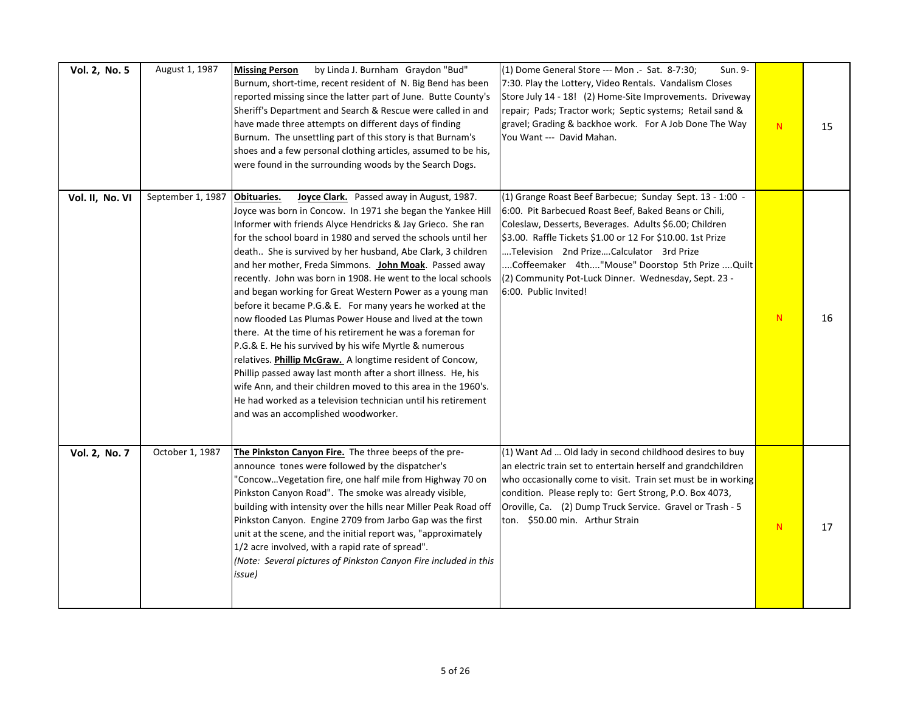| Vol. 2, No. 5   | August 1, 1987    | by Linda J. Burnham Graydon "Bud"<br><b>Missing Person</b><br>Burnum, short-time, recent resident of N. Big Bend has been<br>reported missing since the latter part of June. Butte County's<br>Sheriff's Department and Search & Rescue were called in and<br>have made three attempts on different days of finding<br>Burnum. The unsettling part of this story is that Burnam's<br>shoes and a few personal clothing articles, assumed to be his,<br>were found in the surrounding woods by the Search Dogs.                                                                                                                                                                                                                                                                                                                                                                                                                                                                                                                                                       | (1) Dome General Store --- Mon .- Sat. 8-7:30;<br>Sun. 9-<br>7:30. Play the Lottery, Video Rentals. Vandalism Closes<br>Store July 14 - 18! (2) Home-Site Improvements. Driveway<br>repair; Pads; Tractor work; Septic systems; Retail sand &<br>gravel; Grading & backhoe work. For A Job Done The Way<br>You Want --- David Mahan.                                                                                        | ${\sf N}$    | 15 |
|-----------------|-------------------|----------------------------------------------------------------------------------------------------------------------------------------------------------------------------------------------------------------------------------------------------------------------------------------------------------------------------------------------------------------------------------------------------------------------------------------------------------------------------------------------------------------------------------------------------------------------------------------------------------------------------------------------------------------------------------------------------------------------------------------------------------------------------------------------------------------------------------------------------------------------------------------------------------------------------------------------------------------------------------------------------------------------------------------------------------------------|-----------------------------------------------------------------------------------------------------------------------------------------------------------------------------------------------------------------------------------------------------------------------------------------------------------------------------------------------------------------------------------------------------------------------------|--------------|----|
| Vol. II, No. VI | September 1, 1987 | Obituaries.<br>Joyce Clark. Passed away in August, 1987.<br>Joyce was born in Concow. In 1971 she began the Yankee Hill<br>Informer with friends Alyce Hendricks & Jay Grieco. She ran<br>for the school board in 1980 and served the schools until her<br>death She is survived by her husband, Abe Clark, 3 children<br>and her mother, Freda Simmons. John Moak. Passed away<br>recently. John was born in 1908. He went to the local schools<br>and began working for Great Western Power as a young man<br>before it became P.G.& E. For many years he worked at the<br>now flooded Las Plumas Power House and lived at the town<br>there. At the time of his retirement he was a foreman for<br>P.G.& E. He his survived by his wife Myrtle & numerous<br>relatives. Phillip McGraw. A longtime resident of Concow,<br>Phillip passed away last month after a short illness. He, his<br>wife Ann, and their children moved to this area in the 1960's.<br>He had worked as a television technician until his retirement<br>and was an accomplished woodworker. | (1) Grange Roast Beef Barbecue; Sunday Sept. 13 - 1:00 -<br>6:00. Pit Barbecued Roast Beef, Baked Beans or Chili,<br>Coleslaw, Desserts, Beverages. Adults \$6.00; Children<br>\$3.00. Raffle Tickets \$1.00 or 12 For \$10.00. 1st Prize<br>Television 2nd PrizeCalculator 3rd Prize<br>Coffeemaker 4th "Mouse" Doorstop 5th Prize  Quilt<br>(2) Community Pot-Luck Dinner. Wednesday, Sept. 23 -<br>6:00. Public Invited! | ${\bf N}$    | 16 |
| Vol. 2, No. 7   | October 1, 1987   | The Pinkston Canyon Fire. The three beeps of the pre-<br>announce tones were followed by the dispatcher's<br>'ConcowVegetation fire, one half mile from Highway 70 on<br>Pinkston Canyon Road". The smoke was already visible,<br>building with intensity over the hills near Miller Peak Road off<br>Pinkston Canyon. Engine 2709 from Jarbo Gap was the first<br>unit at the scene, and the initial report was, "approximately<br>1/2 acre involved, with a rapid rate of spread".<br>(Note: Several pictures of Pinkston Canyon Fire included in this<br>issue)                                                                                                                                                                                                                                                                                                                                                                                                                                                                                                   | (1) Want Ad  Old lady in second childhood desires to buy<br>an electric train set to entertain herself and grandchildren<br>who occasionally come to visit. Train set must be in working<br>condition. Please reply to: Gert Strong, P.O. Box 4073,<br>Oroville, Ca. (2) Dump Truck Service. Gravel or Trash - 5<br>ton. \$50.00 min. Arthur Strain                                                                         | $\mathbb{N}$ | 17 |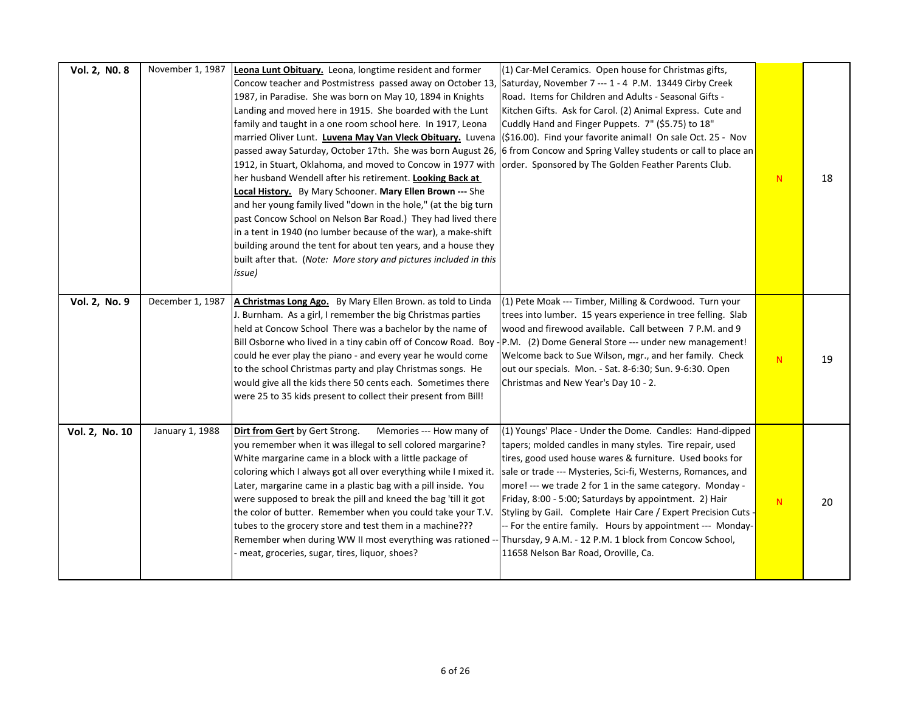| Vol. 2, NO. 8  | November 1, 1987 | Leona Lunt Obituary. Leona, longtime resident and former<br>Concow teacher and Postmistress passed away on October 13,<br>1987, in Paradise. She was born on May 10, 1894 in Knights<br>Landing and moved here in 1915. She boarded with the Lunt<br>family and taught in a one room school here. In 1917, Leona<br>married Oliver Lunt. Luvena May Van Vleck Obituary. Luvena<br>passed away Saturday, October 17th. She was born August 26, 6 from Concow and Spring Valley students or call to place an<br>1912, in Stuart, Oklahoma, and moved to Concow in 1977 with order. Sponsored by The Golden Feather Parents Club.<br>her husband Wendell after his retirement. Looking Back at<br>Local History. By Mary Schooner. Mary Ellen Brown --- She<br>and her young family lived "down in the hole," (at the big turn<br>past Concow School on Nelson Bar Road.) They had lived there<br>in a tent in 1940 (no lumber because of the war), a make-shift<br>building around the tent for about ten years, and a house they<br>built after that. (Note: More story and pictures included in this<br>issue) | (1) Car-Mel Ceramics. Open house for Christmas gifts,<br>Saturday, November 7 --- 1 - 4 P.M. 13449 Cirby Creek<br>Road. Items for Children and Adults - Seasonal Gifts -<br>Kitchen Gifts. Ask for Carol. (2) Animal Express. Cute and<br>Cuddly Hand and Finger Puppets. 7" (\$5.75) to 18"<br>(\$16.00). Find your favorite animal! On sale Oct. 25 - Nov                                                                                                                                                                                                                                              | ${\sf N}$ | 18 |
|----------------|------------------|----------------------------------------------------------------------------------------------------------------------------------------------------------------------------------------------------------------------------------------------------------------------------------------------------------------------------------------------------------------------------------------------------------------------------------------------------------------------------------------------------------------------------------------------------------------------------------------------------------------------------------------------------------------------------------------------------------------------------------------------------------------------------------------------------------------------------------------------------------------------------------------------------------------------------------------------------------------------------------------------------------------------------------------------------------------------------------------------------------------|----------------------------------------------------------------------------------------------------------------------------------------------------------------------------------------------------------------------------------------------------------------------------------------------------------------------------------------------------------------------------------------------------------------------------------------------------------------------------------------------------------------------------------------------------------------------------------------------------------|-----------|----|
| Vol. 2, No. 9  | December 1, 1987 | A Christmas Long Ago. By Mary Ellen Brown. as told to Linda<br>J. Burnham. As a girl, I remember the big Christmas parties<br>held at Concow School There was a bachelor by the name of<br>Bill Osborne who lived in a tiny cabin off of Concow Road. Boy - P.M. (2) Dome General Store --- under new management!<br>could he ever play the piano - and every year he would come<br>to the school Christmas party and play Christmas songs. He<br>would give all the kids there 50 cents each. Sometimes there<br>were 25 to 35 kids present to collect their present from Bill!                                                                                                                                                                                                                                                                                                                                                                                                                                                                                                                               | (1) Pete Moak --- Timber, Milling & Cordwood. Turn your<br>trees into lumber. 15 years experience in tree felling. Slab<br>wood and firewood available. Call between 7 P.M. and 9<br>Welcome back to Sue Wilson, mgr., and her family. Check<br>out our specials. Mon. - Sat. 8-6:30; Sun. 9-6:30. Open<br>Christmas and New Year's Day 10 - 2.                                                                                                                                                                                                                                                          | N.        | 19 |
| Vol. 2, No. 10 | January 1, 1988  | Dirt from Gert by Gert Strong.<br>Memories --- How many of<br>you remember when it was illegal to sell colored margarine?<br>White margarine came in a block with a little package of<br>coloring which I always got all over everything while I mixed it.<br>Later, margarine came in a plastic bag with a pill inside. You<br>were supposed to break the pill and kneed the bag 'till it got<br>the color of butter. Remember when you could take your T.V.<br>tubes to the grocery store and test them in a machine???<br>Remember when during WW II most everything was rationed --<br>meat, groceries, sugar, tires, liquor, shoes?                                                                                                                                                                                                                                                                                                                                                                                                                                                                       | (1) Youngs' Place - Under the Dome. Candles: Hand-dipped<br>tapers; molded candles in many styles. Tire repair, used<br>tires, good used house wares & furniture. Used books for<br>sale or trade --- Mysteries, Sci-fi, Westerns, Romances, and<br>more! --- we trade 2 for 1 in the same category. Monday -<br>Friday, 8:00 - 5:00; Saturdays by appointment. 2) Hair<br>Styling by Gail. Complete Hair Care / Expert Precision Cuts -<br>-- For the entire family. Hours by appointment --- Monday-<br>Thursday, 9 A.M. - 12 P.M. 1 block from Concow School,<br>11658 Nelson Bar Road, Oroville, Ca. | ${\sf N}$ | 20 |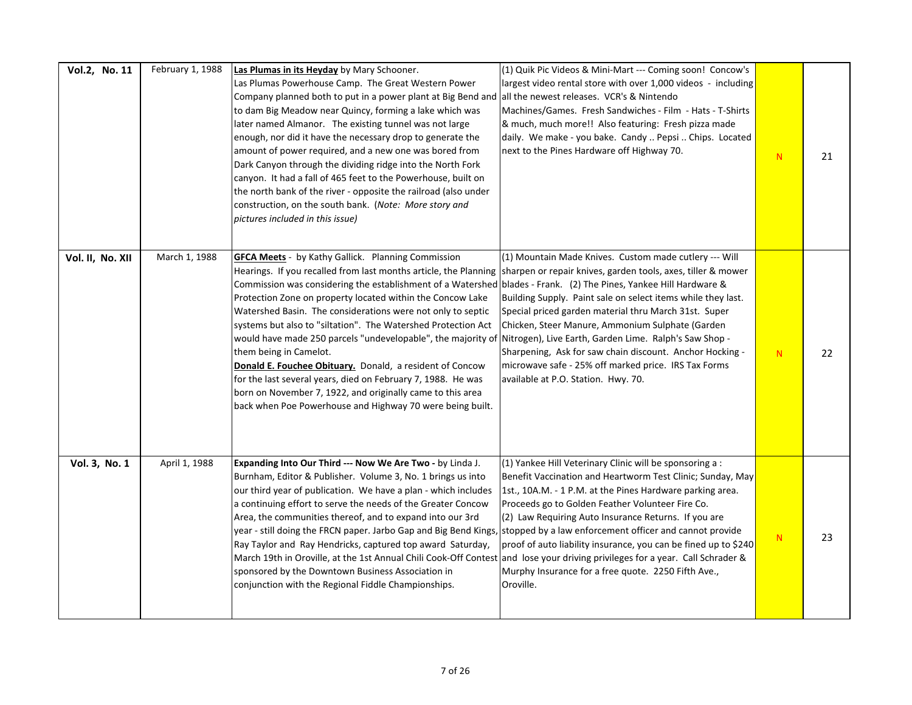| Vol.2, No. 11    | February 1, 1988 | Las Plumas in its Heyday by Mary Schooner.<br>Las Plumas Powerhouse Camp. The Great Western Power<br>Company planned both to put in a power plant at Big Bend and<br>to dam Big Meadow near Quincy, forming a lake which was<br>later named Almanor. The existing tunnel was not large<br>enough, nor did it have the necessary drop to generate the<br>amount of power required, and a new one was bored from<br>Dark Canyon through the dividing ridge into the North Fork<br>canyon. It had a fall of 465 feet to the Powerhouse, built on<br>the north bank of the river - opposite the railroad (also under<br>construction, on the south bank. (Note: More story and<br>pictures included in this issue)                                                                                                                                                                                                         | (1) Quik Pic Videos & Mini-Mart --- Coming soon! Concow's<br>largest video rental store with over 1,000 videos - including<br>all the newest releases. VCR's & Nintendo<br>Machines/Games. Fresh Sandwiches - Film - Hats - T-Shirts<br>& much, much more!! Also featuring: Fresh pizza made<br>daily. We make - you bake. Candy  Pepsi  Chips. Located<br>next to the Pines Hardware off Highway 70.                                  | ${\bf N}$ | 21 |
|------------------|------------------|------------------------------------------------------------------------------------------------------------------------------------------------------------------------------------------------------------------------------------------------------------------------------------------------------------------------------------------------------------------------------------------------------------------------------------------------------------------------------------------------------------------------------------------------------------------------------------------------------------------------------------------------------------------------------------------------------------------------------------------------------------------------------------------------------------------------------------------------------------------------------------------------------------------------|----------------------------------------------------------------------------------------------------------------------------------------------------------------------------------------------------------------------------------------------------------------------------------------------------------------------------------------------------------------------------------------------------------------------------------------|-----------|----|
| Vol. II, No. XII | March 1, 1988    | <b>GFCA Meets</b> - by Kathy Gallick. Planning Commission<br>Hearings. If you recalled from last months article, the Planning  sharpen or repair knives, garden tools, axes, tiller & mower<br>Commission was considering the establishment of a Watershed blades - Frank. (2) The Pines, Yankee Hill Hardware &<br>Protection Zone on property located within the Concow Lake<br>Watershed Basin. The considerations were not only to septic<br>systems but also to "siltation". The Watershed Protection Act<br>would have made 250 parcels "undevelopable", the majority of Nitrogen), Live Earth, Garden Lime. Ralph's Saw Shop -<br>them being in Camelot.<br>Donald E. Fouchee Obituary. Donald, a resident of Concow<br>for the last several years, died on February 7, 1988. He was<br>born on November 7, 1922, and originally came to this area<br>back when Poe Powerhouse and Highway 70 were being built. | (1) Mountain Made Knives. Custom made cutlery --- Will<br>Building Supply. Paint sale on select items while they last.<br>Special priced garden material thru March 31st. Super<br>Chicken, Steer Manure, Ammonium Sulphate (Garden<br>Sharpening, Ask for saw chain discount. Anchor Hocking -<br>microwave safe - 25% off marked price. IRS Tax Forms<br>available at P.O. Station. Hwy. 70.                                         | N         | 22 |
| Vol. 3, No. 1    | April 1, 1988    | Expanding Into Our Third --- Now We Are Two - by Linda J.<br>Burnham, Editor & Publisher. Volume 3, No. 1 brings us into<br>our third year of publication. We have a plan - which includes<br>a continuing effort to serve the needs of the Greater Concow<br>Area, the communities thereof, and to expand into our 3rd<br>year - still doing the FRCN paper. Jarbo Gap and Big Bend Kings, stopped by a law enforcement officer and cannot provide<br>Ray Taylor and Ray Hendricks, captured top award Saturday,<br>March 19th in Oroville, at the 1st Annual Chili Cook-Off Contest and lose your driving privileges for a year. Call Schrader &<br>sponsored by the Downtown Business Association in<br>conjunction with the Regional Fiddle Championships.                                                                                                                                                         | (1) Yankee Hill Veterinary Clinic will be sponsoring a :<br>Benefit Vaccination and Heartworm Test Clinic; Sunday, May<br>1st., 10A.M. - 1 P.M. at the Pines Hardware parking area.<br>Proceeds go to Golden Feather Volunteer Fire Co.<br>(2) Law Requiring Auto Insurance Returns. If you are<br>proof of auto liability insurance, you can be fined up to \$240<br>Murphy Insurance for a free quote. 2250 Fifth Ave.,<br>Oroville. | N         | 23 |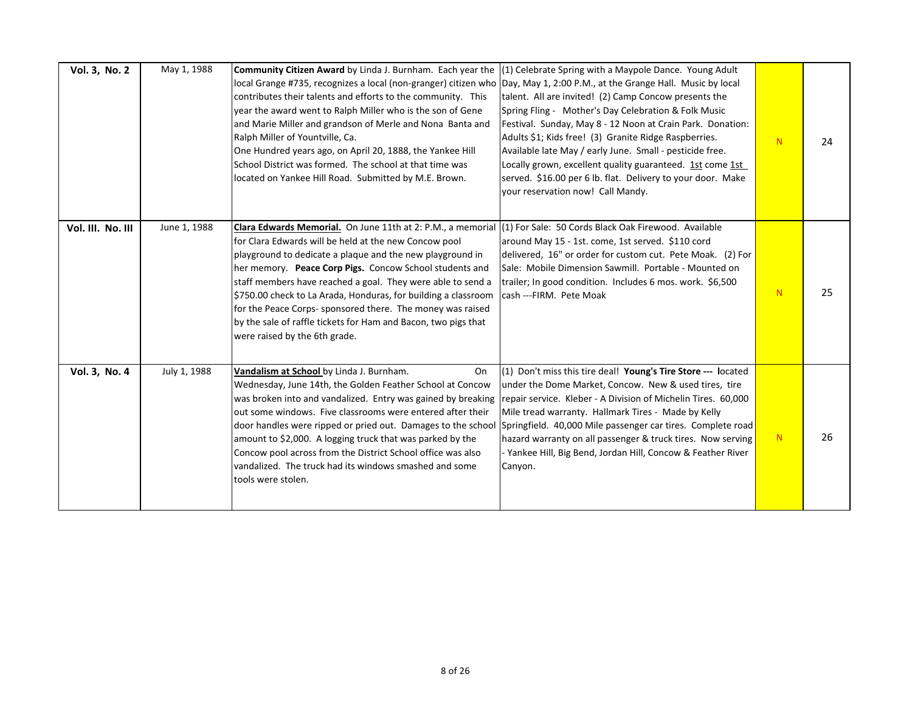| Vol. 3, No. 2     | May 1, 1988  | <b>Community Citizen Award</b> by Linda J. Burnham. Each year the<br>local Grange #735, recognizes a local (non-granger) citizen who Day, May 1, 2:00 P.M., at the Grange Hall. Music by local<br>contributes their talents and efforts to the community. This<br>year the award went to Ralph Miller who is the son of Gene<br>and Marie Miller and grandson of Merle and Nona Banta and<br>Ralph Miller of Yountville, Ca.<br>One Hundred years ago, on April 20, 1888, the Yankee Hill<br>School District was formed. The school at that time was<br>located on Yankee Hill Road. Submitted by M.E. Brown. | (1) Celebrate Spring with a Maypole Dance. Young Adult<br>talent. All are invited! (2) Camp Concow presents the<br>Spring Fling - Mother's Day Celebration & Folk Music<br>Festival. Sunday, May 8 - 12 Noon at Crain Park. Donation:<br>Adults \$1; Kids free! (3) Granite Ridge Raspberries.<br>Available late May / early June. Small - pesticide free.<br>Locally grown, excellent quality guaranteed. 1st come 1st<br>served. \$16.00 per 6 lb. flat. Delivery to your door. Make<br>your reservation now! Call Mandy. | N | 24 |
|-------------------|--------------|---------------------------------------------------------------------------------------------------------------------------------------------------------------------------------------------------------------------------------------------------------------------------------------------------------------------------------------------------------------------------------------------------------------------------------------------------------------------------------------------------------------------------------------------------------------------------------------------------------------|-----------------------------------------------------------------------------------------------------------------------------------------------------------------------------------------------------------------------------------------------------------------------------------------------------------------------------------------------------------------------------------------------------------------------------------------------------------------------------------------------------------------------------|---|----|
| Vol. III. No. III | June 1, 1988 | Clara Edwards Memorial. On June 11th at 2: P.M., a memorial (1) For Sale: 50 Cords Black Oak Firewood. Available<br>for Clara Edwards will be held at the new Concow pool<br>playground to dedicate a plaque and the new playground in<br>her memory. Peace Corp Pigs. Concow School students and<br>staff members have reached a goal. They were able to send a<br>\$750.00 check to La Arada, Honduras, for building a classroom<br>for the Peace Corps- sponsored there. The money was raised<br>by the sale of raffle tickets for Ham and Bacon, two pigs that<br>were raised by the 6th grade.           | around May 15 - 1st. come, 1st served. \$110 cord<br>delivered, 16" or order for custom cut. Pete Moak. (2) For<br>Sale: Mobile Dimension Sawmill. Portable - Mounted on<br>trailer; In good condition. Includes 6 mos. work. \$6,500<br>cash ---FIRM. Pete Moak                                                                                                                                                                                                                                                            | N | 25 |
| Vol. 3, No. 4     | July 1, 1988 | Vandalism at School by Linda J. Burnham.<br>On<br>Wednesday, June 14th, the Golden Feather School at Concow<br>was broken into and vandalized. Entry was gained by breaking<br>out some windows. Five classrooms were entered after their<br>door handles were ripped or pried out. Damages to the school<br>amount to \$2,000. A logging truck that was parked by the<br>Concow pool across from the District School office was also<br>vandalized. The truck had its windows smashed and some<br>tools were stolen.                                                                                         | (1) Don't miss this tire deal! Young's Tire Store --- located<br>under the Dome Market, Concow. New & used tires, tire<br>repair service. Kleber - A Division of Michelin Tires. 60,000<br>Mile tread warranty. Hallmark Tires - Made by Kelly<br>Springfield. 40,000 Mile passenger car tires. Complete road<br>hazard warranty on all passenger & truck tires. Now serving<br>Yankee Hill, Big Bend, Jordan Hill, Concow & Feather River<br>Canyon.                                                                       | N | 26 |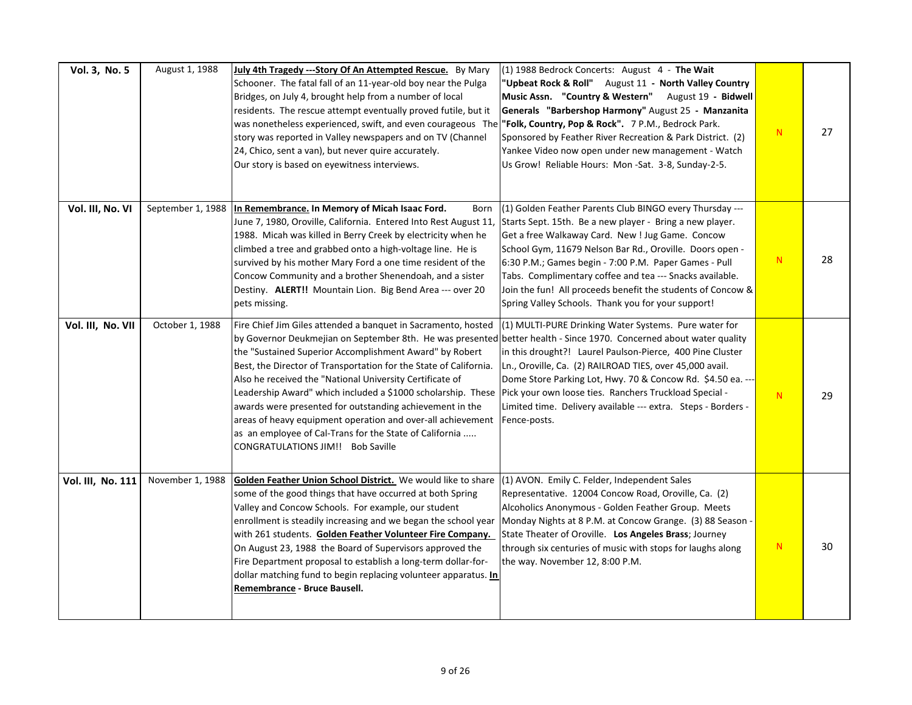| Vol. 3, No. 5     | August 1, 1988    | July 4th Tragedy --- Story Of An Attempted Rescue. By Mary<br>Schooner. The fatal fall of an 11-year-old boy near the Pulga<br>Bridges, on July 4, brought help from a number of local<br>residents. The rescue attempt eventually proved futile, but it<br>was nonetheless experienced, swift, and even courageous The <b>"Folk, Country, Pop &amp; Rock".</b> 7 P.M., Bedrock Park.<br>story was reported in Valley newspapers and on TV (Channel<br>24, Chico, sent a van), but never quire accurately.<br>Our story is based on eyewitness interviews.                                                                                                                                                                          | $(1)$ 1988 Bedrock Concerts: August 4 - The Wait<br>"Upbeat Rock & Roll" August 11 - North Valley Country<br>Music Assn. "Country & Western" August 19 - Bidwell<br>Generals "Barbershop Harmony" August 25 - Manzanita<br>Sponsored by Feather River Recreation & Park District. (2)<br>Yankee Video now open under new management - Watch<br>Us Grow! Reliable Hours: Mon-Sat. 3-8, Sunday-2-5.                                                                              | N. | 27 |
|-------------------|-------------------|-------------------------------------------------------------------------------------------------------------------------------------------------------------------------------------------------------------------------------------------------------------------------------------------------------------------------------------------------------------------------------------------------------------------------------------------------------------------------------------------------------------------------------------------------------------------------------------------------------------------------------------------------------------------------------------------------------------------------------------|--------------------------------------------------------------------------------------------------------------------------------------------------------------------------------------------------------------------------------------------------------------------------------------------------------------------------------------------------------------------------------------------------------------------------------------------------------------------------------|----|----|
| Vol. III, No. VI  | September 1, 1988 | In Remembrance. In Memory of Micah Isaac Ford.<br>Born<br>June 7, 1980, Oroville, California. Entered Into Rest August 11,<br>1988. Micah was killed in Berry Creek by electricity when he<br>climbed a tree and grabbed onto a high-voltage line. He is<br>survived by his mother Mary Ford a one time resident of the<br>Concow Community and a brother Shenendoah, and a sister<br>Destiny. ALERT!! Mountain Lion. Big Bend Area --- over 20<br>pets missing.                                                                                                                                                                                                                                                                    | (1) Golden Feather Parents Club BINGO every Thursday ---<br>Starts Sept. 15th. Be a new player - Bring a new player.<br>Get a free Walkaway Card. New ! Jug Game. Concow<br>School Gym, 11679 Nelson Bar Rd., Oroville. Doors open -<br>6:30 P.M.; Games begin - 7:00 P.M. Paper Games - Pull<br>Tabs. Complimentary coffee and tea --- Snacks available.<br>Join the fun! All proceeds benefit the students of Concow &<br>Spring Valley Schools. Thank you for your support! | N  | 28 |
| Vol. III, No. VII | October 1, 1988   | Fire Chief Jim Giles attended a banquet in Sacramento, hosted<br>by Governor Deukmejian on September 8th. He was presented better health - Since 1970. Concerned about water quality<br>the "Sustained Superior Accomplishment Award" by Robert<br>Best, the Director of Transportation for the State of California.<br>Also he received the "National University Certificate of<br>Leadership Award" which included a \$1000 scholarship. These  Pick your own loose ties. Ranchers Truckload Special -<br>awards were presented for outstanding achievement in the<br>areas of heavy equipment operation and over-all achievement<br>as an employee of Cal-Trans for the State of California<br>CONGRATULATIONS JIM!! Bob Saville | (1) MULTI-PURE Drinking Water Systems. Pure water for<br>in this drought?! Laurel Paulson-Pierce, 400 Pine Cluster<br>Ln., Oroville, Ca. (2) RAILROAD TIES, over 45,000 avail.<br>Dome Store Parking Lot, Hwy. 70 & Concow Rd. \$4.50 ea. ---<br>Limited time. Delivery available --- extra. Steps - Borders -<br>Fence-posts.                                                                                                                                                 | N  | 29 |
| Vol. III, No. 111 | November 1, 1988  | Golden Feather Union School District. We would like to share<br>some of the good things that have occurred at both Spring<br>Valley and Concow Schools. For example, our student<br>enrollment is steadily increasing and we began the school year<br>with 261 students. Golden Feather Volunteer Fire Company.<br>On August 23, 1988 the Board of Supervisors approved the<br>Fire Department proposal to establish a long-term dollar-for-<br>dollar matching fund to begin replacing volunteer apparatus. In<br>Remembrance - Bruce Bausell.                                                                                                                                                                                     | (1) AVON. Emily C. Felder, Independent Sales<br>Representative. 12004 Concow Road, Oroville, Ca. (2)<br>Alcoholics Anonymous - Golden Feather Group. Meets<br>Monday Nights at 8 P.M. at Concow Grange. (3) 88 Season -<br>State Theater of Oroville. Los Angeles Brass; Journey<br>through six centuries of music with stops for laughs along<br>the way. November 12, 8:00 P.M.                                                                                              | N  | 30 |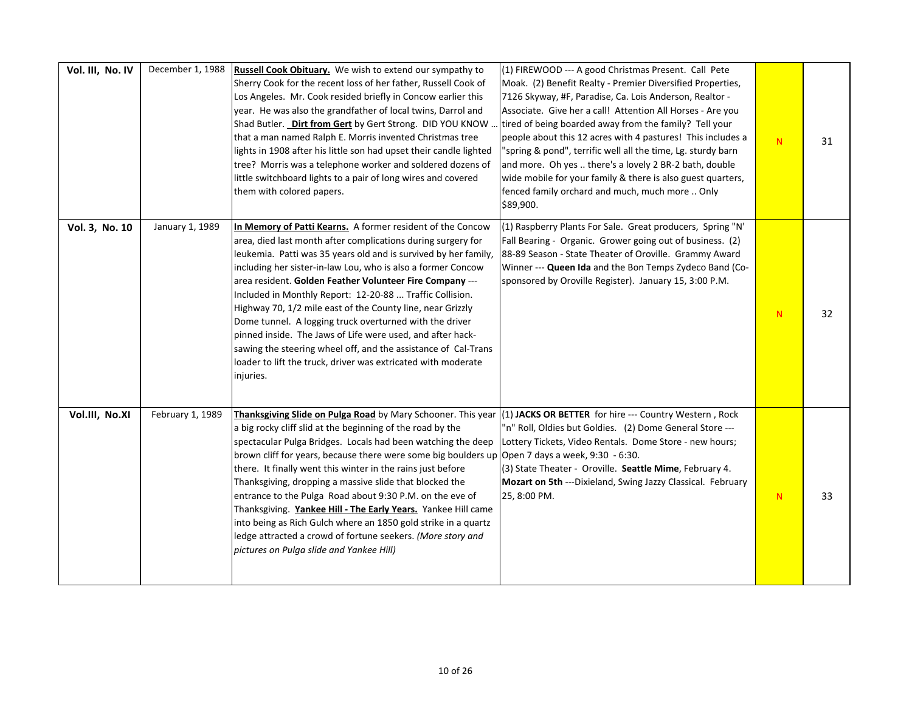| Vol. III, No. IV | December 1, 1988 | Russell Cook Obituary. We wish to extend our sympathy to<br>Sherry Cook for the recent loss of her father, Russell Cook of<br>Los Angeles. Mr. Cook resided briefly in Concow earlier this<br>year. He was also the grandfather of local twins, Darrol and<br>Shad Butler. Dirt from Gert by Gert Strong. DID YOU KNOW.<br>that a man named Ralph E. Morris invented Christmas tree<br>lights in 1908 after his little son had upset their candle lighted<br>tree? Morris was a telephone worker and soldered dozens of<br>little switchboard lights to a pair of long wires and covered<br>them with colored papers.                                                                                                             | (1) FIREWOOD --- A good Christmas Present. Call Pete<br>Moak. (2) Benefit Realty - Premier Diversified Properties,<br>7126 Skyway, #F, Paradise, Ca. Lois Anderson, Realtor -<br>Associate. Give her a call! Attention All Horses - Are you<br>tired of being boarded away from the family? Tell your<br>people about this 12 acres with 4 pastures! This includes a<br>"spring & pond", terrific well all the time, Lg. sturdy barn<br>and more. Oh yes  there's a lovely 2 BR-2 bath, double<br>wide mobile for your family & there is also guest quarters,<br>fenced family orchard and much, much more  Only<br>\$89,900. | N  | 31 |
|------------------|------------------|-----------------------------------------------------------------------------------------------------------------------------------------------------------------------------------------------------------------------------------------------------------------------------------------------------------------------------------------------------------------------------------------------------------------------------------------------------------------------------------------------------------------------------------------------------------------------------------------------------------------------------------------------------------------------------------------------------------------------------------|-------------------------------------------------------------------------------------------------------------------------------------------------------------------------------------------------------------------------------------------------------------------------------------------------------------------------------------------------------------------------------------------------------------------------------------------------------------------------------------------------------------------------------------------------------------------------------------------------------------------------------|----|----|
| Vol. 3, No. 10   | January 1, 1989  | In Memory of Patti Kearns. A former resident of the Concow<br>area, died last month after complications during surgery for<br>leukemia. Patti was 35 years old and is survived by her family,<br>including her sister-in-law Lou, who is also a former Concow<br>area resident. Golden Feather Volunteer Fire Company ---<br>Included in Monthly Report: 12-20-88  Traffic Collision.<br>Highway 70, 1/2 mile east of the County line, near Grizzly<br>Dome tunnel. A logging truck overturned with the driver<br>pinned inside. The Jaws of Life were used, and after hack-<br>sawing the steering wheel off, and the assistance of Cal-Trans<br>loader to lift the truck, driver was extricated with moderate<br>injuries.      | (1) Raspberry Plants For Sale. Great producers, Spring "N'<br>Fall Bearing - Organic. Grower going out of business. (2)<br>88-89 Season - State Theater of Oroville. Grammy Award<br>Winner --- Queen Ida and the Bon Temps Zydeco Band (Co-<br>sponsored by Oroville Register). January 15, 3:00 P.M.                                                                                                                                                                                                                                                                                                                        | N  | 32 |
| Vol.III, No.XI   | February 1, 1989 | Thanksgiving Slide on Pulga Road by Mary Schooner. This year<br>a big rocky cliff slid at the beginning of the road by the<br>spectacular Pulga Bridges. Locals had been watching the deep<br>brown cliff for years, because there were some big boulders up Open 7 days a week, 9:30 - 6:30.<br>there. It finally went this winter in the rains just before<br>Thanksgiving, dropping a massive slide that blocked the<br>entrance to the Pulga Road about 9:30 P.M. on the eve of<br>Thanksgiving. Yankee Hill - The Early Years. Yankee Hill came<br>into being as Rich Gulch where an 1850 gold strike in a quartz<br>ledge attracted a crowd of fortune seekers. (More story and<br>pictures on Pulga slide and Yankee Hill) | (1) JACKS OR BETTER for hire --- Country Western, Rock<br>"n" Roll, Oldies but Goldies. (2) Dome General Store ---<br>Lottery Tickets, Video Rentals. Dome Store - new hours;<br>(3) State Theater - Oroville. Seattle Mime, February 4.<br>Mozart on 5th ---Dixieland, Swing Jazzy Classical. February<br>25, 8:00 PM.                                                                                                                                                                                                                                                                                                       | N. | 33 |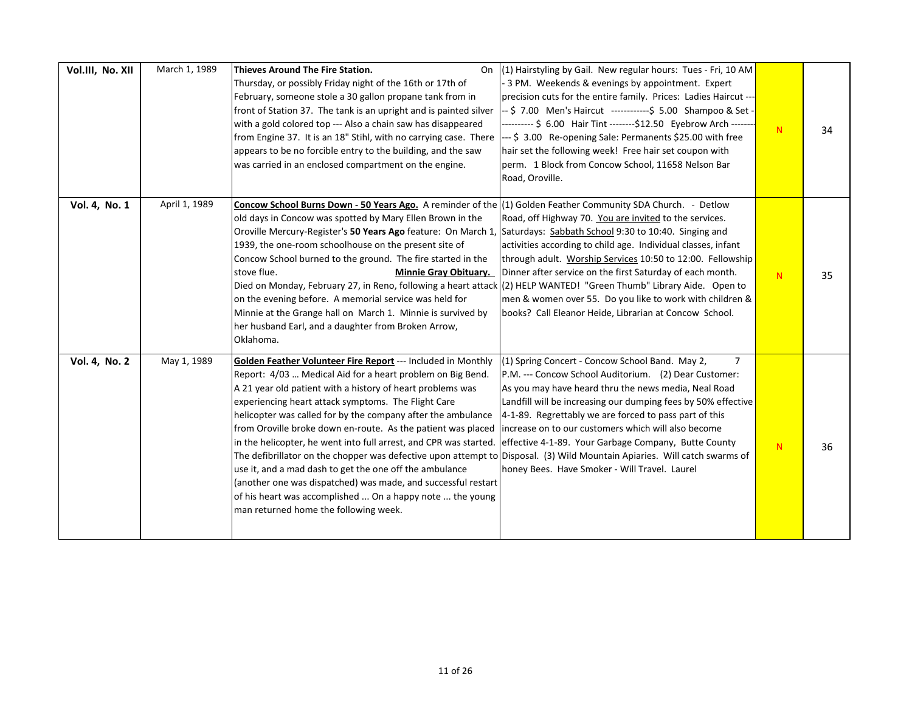| Vol.III, No. XII | March 1, 1989 | Thieves Around The Fire Station.<br>On<br>Thursday, or possibly Friday night of the 16th or 17th of<br>February, someone stole a 30 gallon propane tank from in<br>front of Station 37. The tank is an upright and is painted silver<br>with a gold colored top --- Also a chain saw has disappeared<br>from Engine 37. It is an 18" Stihl, with no carrying case. There<br>appears to be no forcible entry to the building, and the saw<br>was carried in an enclosed compartment on the engine.                                                                                                                                                                                                                                                                                                                   | (1) Hairstyling by Gail. New regular hours: Tues - Fri, 10 AM<br>3 PM. Weekends & evenings by appointment. Expert<br>precision cuts for the entire family. Prices: Ladies Haircut ---<br>-- \$7.00 Men's Haircut ------------\$ 5.00 Shampoo & Set -<br>--------- \$ 6.00 Hair Tint --------\$12.50 Eyebrow Arch -------<br>--- \$ 3.00 Re-opening Sale: Permanents \$25.00 with free<br>hair set the following week! Free hair set coupon with<br>perm. 1 Block from Concow School, 11658 Nelson Bar<br>Road, Oroville. | ${\bf N}$ | 34 |
|------------------|---------------|---------------------------------------------------------------------------------------------------------------------------------------------------------------------------------------------------------------------------------------------------------------------------------------------------------------------------------------------------------------------------------------------------------------------------------------------------------------------------------------------------------------------------------------------------------------------------------------------------------------------------------------------------------------------------------------------------------------------------------------------------------------------------------------------------------------------|--------------------------------------------------------------------------------------------------------------------------------------------------------------------------------------------------------------------------------------------------------------------------------------------------------------------------------------------------------------------------------------------------------------------------------------------------------------------------------------------------------------------------|-----------|----|
| Vol. 4, No. 1    | April 1, 1989 | Concow School Burns Down - 50 Years Ago. A reminder of the (1) Golden Feather Community SDA Church. - Detlow<br>old days in Concow was spotted by Mary Ellen Brown in the<br>Oroville Mercury-Register's 50 Years Ago feature: On March 1,<br>1939, the one-room schoolhouse on the present site of<br>Concow School burned to the ground. The fire started in the<br>stove flue.<br><b>Minnie Gray Obituary.</b><br>Died on Monday, February 27, in Reno, following a heart attack (2) HELP WANTED! "Green Thumb" Library Aide. Open to<br>on the evening before. A memorial service was held for<br>Minnie at the Grange hall on March 1. Minnie is survived by<br>her husband Earl, and a daughter from Broken Arrow,<br>Oklahoma.                                                                               | Road, off Highway 70. You are invited to the services.<br>Saturdays: Sabbath School 9:30 to 10:40. Singing and<br>activities according to child age. Individual classes, infant<br>through adult. Worship Services 10:50 to 12:00. Fellowship<br>Dinner after service on the first Saturday of each month.<br>men & women over 55. Do you like to work with children &<br>books? Call Eleanor Heide, Librarian at Concow School.                                                                                         | N         | 35 |
| Vol. 4, No. 2    | May 1, 1989   | Golden Feather Volunteer Fire Report --- Included in Monthly<br>Report: 4/03  Medical Aid for a heart problem on Big Bend.<br>A 21 year old patient with a history of heart problems was<br>experiencing heart attack symptoms. The Flight Care<br>helicopter was called for by the company after the ambulance<br>from Oroville broke down en-route. As the patient was placed<br>in the helicopter, he went into full arrest, and CPR was started.<br>The defibrillator on the chopper was defective upon attempt to Disposal. (3) Wild Mountain Apiaries. Will catch swarms of<br>use it, and a mad dash to get the one off the ambulance<br>(another one was dispatched) was made, and successful restart<br>of his heart was accomplished  On a happy note  the young<br>man returned home the following week. | (1) Spring Concert - Concow School Band. May 2,<br>$\overline{7}$<br>P.M. --- Concow School Auditorium. (2) Dear Customer:<br>As you may have heard thru the news media, Neal Road<br>Landfill will be increasing our dumping fees by 50% effective<br>4-1-89. Regrettably we are forced to pass part of this<br>lincrease on to our customers which will also become<br>effective 4-1-89. Your Garbage Company, Butte County<br>honey Bees. Have Smoker - Will Travel. Laurel                                           | N         | 36 |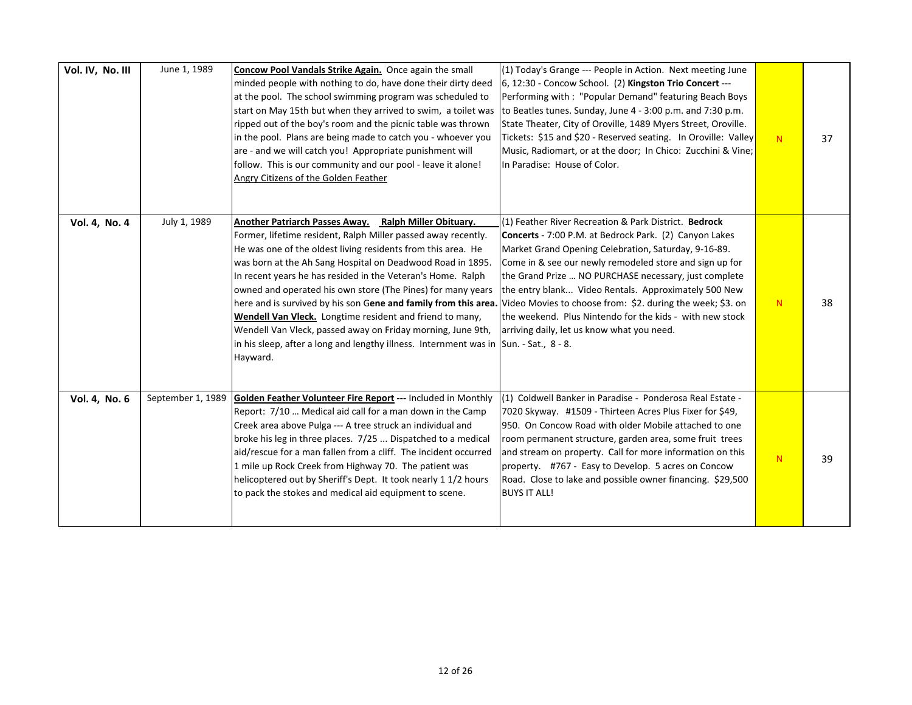| Vol. IV, No. III | June 1, 1989      | Concow Pool Vandals Strike Again. Once again the small<br>minded people with nothing to do, have done their dirty deed<br>at the pool. The school swimming program was scheduled to<br>start on May 15th but when they arrived to swim, a toilet was<br>ripped out of the boy's room and the picnic table was thrown<br>in the pool. Plans are being made to catch you - whoever you<br>are - and we will catch you! Appropriate punishment will<br>follow. This is our community and our pool - leave it alone!<br>Angry Citizens of the Golden Feather                                                                                                                                                                                                                 | (1) Today's Grange --- People in Action. Next meeting June<br>[6, 12:30 - Concow School. (2) Kingston Trio Concert ---<br>Performing with: "Popular Demand" featuring Beach Boys<br>to Beatles tunes. Sunday, June 4 - 3:00 p.m. and 7:30 p.m.<br>State Theater, City of Oroville, 1489 Myers Street, Oroville.<br>Tickets: \$15 and \$20 - Reserved seating. In Oroville: Valley<br>Music, Radiomart, or at the door; In Chico: Zucchini & Vine;<br>In Paradise: House of Color. | N | 37 |
|------------------|-------------------|--------------------------------------------------------------------------------------------------------------------------------------------------------------------------------------------------------------------------------------------------------------------------------------------------------------------------------------------------------------------------------------------------------------------------------------------------------------------------------------------------------------------------------------------------------------------------------------------------------------------------------------------------------------------------------------------------------------------------------------------------------------------------|-----------------------------------------------------------------------------------------------------------------------------------------------------------------------------------------------------------------------------------------------------------------------------------------------------------------------------------------------------------------------------------------------------------------------------------------------------------------------------------|---|----|
| Vol. 4, No. 4    | July 1, 1989      | Another Patriarch Passes Away. Ralph Miller Obituary.<br>Former, lifetime resident, Ralph Miller passed away recently.<br>He was one of the oldest living residents from this area. He<br>was born at the Ah Sang Hospital on Deadwood Road in 1895.<br>In recent years he has resided in the Veteran's Home. Ralph<br>owned and operated his own store (The Pines) for many years<br>here and is survived by his son Gene and family from this area. Video Movies to choose from: \$2. during the week; \$3. on<br>Wendell Van Vleck. Longtime resident and friend to many,<br>Wendell Van Vleck, passed away on Friday morning, June 9th,<br>in his sleep, after a long and lengthy illness. Internment was in $\left  \text{Sun. - Sat.}, 8 - 8. \right $<br>Hayward. | (1) Feather River Recreation & Park District. Bedrock<br><b>Concerts</b> - 7:00 P.M. at Bedrock Park. (2) Canyon Lakes<br>Market Grand Opening Celebration, Saturday, 9-16-89.<br>Come in & see our newly remodeled store and sign up for<br>the Grand Prize  NO PURCHASE necessary, just complete<br>the entry blank Video Rentals. Approximately 500 New<br>the weekend. Plus Nintendo for the kids - with new stock<br>arriving daily, let us know what you need.              | N | 38 |
| Vol. 4, No. 6    | September 1, 1989 | Golden Feather Volunteer Fire Report --- Included in Monthly<br>Report: 7/10  Medical aid call for a man down in the Camp<br>Creek area above Pulga --- A tree struck an individual and<br>broke his leg in three places. 7/25  Dispatched to a medical<br>aid/rescue for a man fallen from a cliff. The incident occurred<br>1 mile up Rock Creek from Highway 70. The patient was<br>helicoptered out by Sheriff's Dept. It took nearly 1 1/2 hours<br>to pack the stokes and medical aid equipment to scene.                                                                                                                                                                                                                                                          | (1) Coldwell Banker in Paradise - Ponderosa Real Estate -<br>7020 Skyway. #1509 - Thirteen Acres Plus Fixer for \$49,<br>950. On Concow Road with older Mobile attached to one<br>room permanent structure, garden area, some fruit trees<br>and stream on property. Call for more information on this<br>property. #767 - Easy to Develop. 5 acres on Concow<br>Road. Close to lake and possible owner financing. \$29,500<br><b>BUYS IT ALL!</b>                                | N | 39 |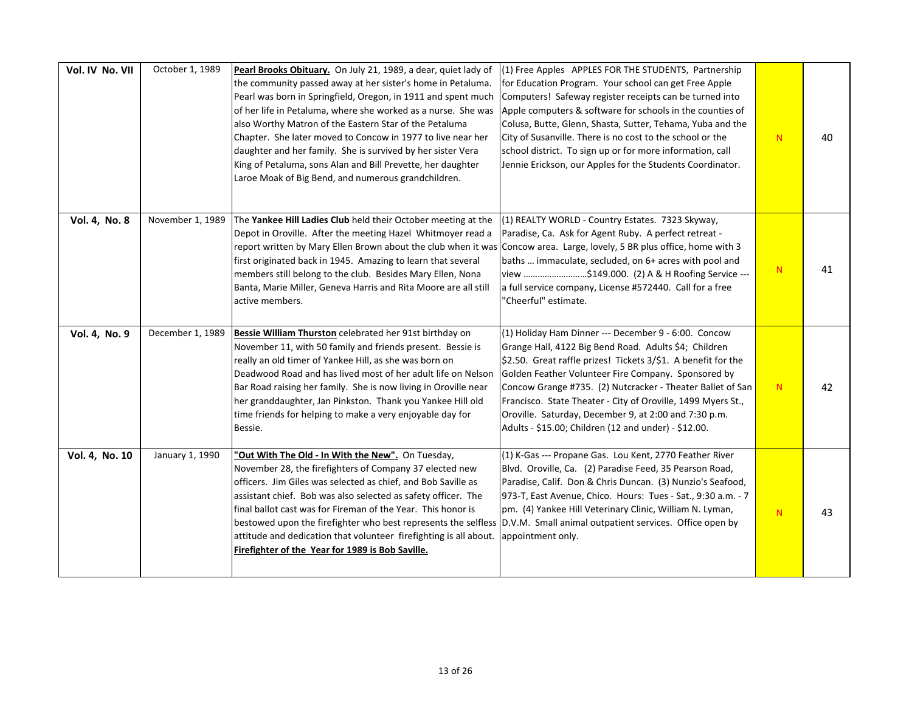| Vol. IV No. VII | October 1, 1989  | Pearl Brooks Obituary. On July 21, 1989, a dear, quiet lady of<br>the community passed away at her sister's home in Petaluma.<br>Pearl was born in Springfield, Oregon, in 1911 and spent much<br>of her life in Petaluma, where she worked as a nurse. She was<br>also Worthy Matron of the Eastern Star of the Petaluma<br>Chapter. She later moved to Concow in 1977 to live near her<br>daughter and her family. She is survived by her sister Vera<br>King of Petaluma, sons Alan and Bill Prevette, her daughter<br>Laroe Moak of Big Bend, and numerous grandchildren. | (1) Free Apples APPLES FOR THE STUDENTS, Partnership<br>for Education Program. Your school can get Free Apple<br>Computers! Safeway register receipts can be turned into<br>Apple computers & software for schools in the counties of<br>Colusa, Butte, Glenn, Shasta, Sutter, Tehama, Yuba and the<br>City of Susanville. There is no cost to the school or the<br>school district. To sign up or for more information, call<br>Jennie Erickson, our Apples for the Students Coordinator. | N. | 40 |
|-----------------|------------------|-------------------------------------------------------------------------------------------------------------------------------------------------------------------------------------------------------------------------------------------------------------------------------------------------------------------------------------------------------------------------------------------------------------------------------------------------------------------------------------------------------------------------------------------------------------------------------|--------------------------------------------------------------------------------------------------------------------------------------------------------------------------------------------------------------------------------------------------------------------------------------------------------------------------------------------------------------------------------------------------------------------------------------------------------------------------------------------|----|----|
| Vol. 4, No. 8   | November 1, 1989 | The Yankee Hill Ladies Club held their October meeting at the<br>Depot in Oroville. After the meeting Hazel Whitmoyer read a<br>report written by Mary Ellen Brown about the club when it was Concow area. Large, lovely, 5 BR plus office, home with 3<br>first originated back in 1945. Amazing to learn that several<br>members still belong to the club. Besides Mary Ellen, Nona<br>Banta, Marie Miller, Geneva Harris and Rita Moore are all still<br>active members.                                                                                                   | (1) REALTY WORLD - Country Estates. 7323 Skyway,<br>Paradise, Ca. Ask for Agent Ruby. A perfect retreat -<br>baths  immaculate, secluded, on 6+ acres with pool and<br>view \$149.000. (2) A & H Roofing Service ---<br>a full service company, License #572440. Call for a free<br>"Cheerful" estimate.                                                                                                                                                                                   | N  | 41 |
| Vol. 4, No. 9   | December 1, 1989 | Bessie William Thurston celebrated her 91st birthday on<br>November 11, with 50 family and friends present. Bessie is<br>really an old timer of Yankee Hill, as she was born on<br>Deadwood Road and has lived most of her adult life on Nelson<br>Bar Road raising her family. She is now living in Oroville near<br>her granddaughter, Jan Pinkston. Thank you Yankee Hill old<br>time friends for helping to make a very enjoyable day for<br>Bessie.                                                                                                                      | (1) Holiday Ham Dinner --- December 9 - 6:00. Concow<br>Grange Hall, 4122 Big Bend Road. Adults \$4; Children<br>\$2.50. Great raffle prizes! Tickets 3/\$1. A benefit for the<br>Golden Feather Volunteer Fire Company. Sponsored by<br>Concow Grange #735. (2) Nutcracker - Theater Ballet of San<br>Francisco. State Theater - City of Oroville, 1499 Myers St.,<br>Oroville. Saturday, December 9, at 2:00 and 7:30 p.m.<br>Adults - \$15.00; Children (12 and under) - \$12.00.       | N  | 42 |
| Vol. 4, No. 10  | January 1, 1990  | "Out With The Old - In With the New". On Tuesday,<br>November 28, the firefighters of Company 37 elected new<br>officers. Jim Giles was selected as chief, and Bob Saville as<br>assistant chief. Bob was also selected as safety officer. The<br>final ballot cast was for Fireman of the Year. This honor is<br>bestowed upon the firefighter who best represents the selfless  D.V.M. Small animal outpatient services. Office open by<br>attitude and dedication that volunteer firefighting is all about.<br>Firefighter of the Year for 1989 is Bob Saville.            | (1) K-Gas --- Propane Gas. Lou Kent, 2770 Feather River<br>Blvd. Oroville, Ca. (2) Paradise Feed, 35 Pearson Road,<br>Paradise, Calif. Don & Chris Duncan. (3) Nunzio's Seafood,<br>973-T, East Avenue, Chico. Hours: Tues - Sat., 9:30 a.m. - 7<br>pm. (4) Yankee Hill Veterinary Clinic, William N. Lyman,<br>appointment only.                                                                                                                                                          | N  | 43 |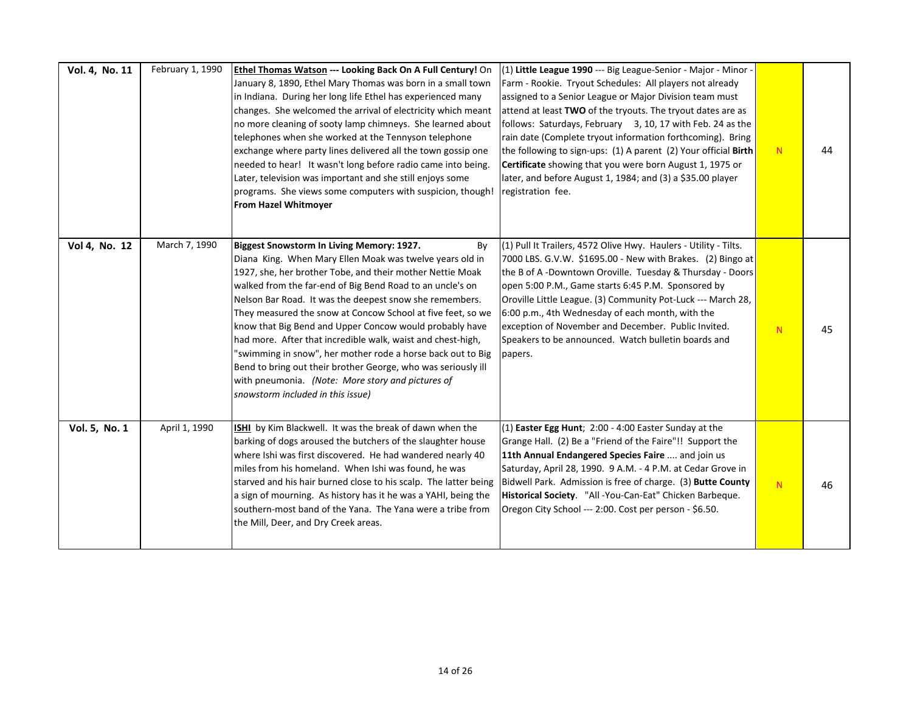| Vol. 4, No. 11 | February 1, 1990 | Ethel Thomas Watson --- Looking Back On A Full Century! On<br>January 8, 1890, Ethel Mary Thomas was born in a small town<br>in Indiana. During her long life Ethel has experienced many<br>changes. She welcomed the arrival of electricity which meant<br>no more cleaning of sooty lamp chimneys. She learned about<br>telephones when she worked at the Tennyson telephone<br>exchange where party lines delivered all the town gossip one<br>needed to hear! It wasn't long before radio came into being.<br>Later, television was important and she still enjoys some<br>programs. She views some computers with suspicion, though!<br><b>From Hazel Whitmoyer</b>                                            | (1) Little League 1990 --- Big League-Senior - Major - Minor -<br>Farm - Rookie. Tryout Schedules: All players not already<br>assigned to a Senior League or Major Division team must<br>attend at least TWO of the tryouts. The tryout dates are as<br>follows: Saturdays, February 3, 10, 17 with Feb. 24 as the<br>rain date (Complete tryout information forthcoming). Bring<br>the following to sign-ups: (1) A parent (2) Your official Birth<br>Certificate showing that you were born August 1, 1975 or<br>later, and before August 1, 1984; and (3) a \$35.00 player<br>registration fee. | N | 44 |
|----------------|------------------|---------------------------------------------------------------------------------------------------------------------------------------------------------------------------------------------------------------------------------------------------------------------------------------------------------------------------------------------------------------------------------------------------------------------------------------------------------------------------------------------------------------------------------------------------------------------------------------------------------------------------------------------------------------------------------------------------------------------|----------------------------------------------------------------------------------------------------------------------------------------------------------------------------------------------------------------------------------------------------------------------------------------------------------------------------------------------------------------------------------------------------------------------------------------------------------------------------------------------------------------------------------------------------------------------------------------------------|---|----|
| Vol 4, No. 12  | March 7, 1990    | Biggest Snowstorm In Living Memory: 1927.<br>By<br>Diana King. When Mary Ellen Moak was twelve years old in<br>1927, she, her brother Tobe, and their mother Nettie Moak<br>walked from the far-end of Big Bend Road to an uncle's on<br>Nelson Bar Road. It was the deepest snow she remembers.<br>They measured the snow at Concow School at five feet, so we<br>know that Big Bend and Upper Concow would probably have<br>had more. After that incredible walk, waist and chest-high,<br>"swimming in snow", her mother rode a horse back out to Big<br>Bend to bring out their brother George, who was seriously ill<br>with pneumonia. (Note: More story and pictures of<br>snowstorm included in this issue) | (1) Pull It Trailers, 4572 Olive Hwy. Haulers - Utility - Tilts.<br>7000 LBS. G.V.W. \$1695.00 - New with Brakes. (2) Bingo at<br>the B of A-Downtown Oroville. Tuesday & Thursday - Doors<br>open 5:00 P.M., Game starts 6:45 P.M. Sponsored by<br>Oroville Little League. (3) Community Pot-Luck --- March 28,<br>6:00 p.m., 4th Wednesday of each month, with the<br>exception of November and December. Public Invited.<br>Speakers to be announced. Watch bulletin boards and<br>papers.                                                                                                      | N | 45 |
| Vol. 5, No. 1  | April 1, 1990    | ISHI by Kim Blackwell. It was the break of dawn when the<br>barking of dogs aroused the butchers of the slaughter house<br>where Ishi was first discovered. He had wandered nearly 40<br>miles from his homeland. When Ishi was found, he was<br>starved and his hair burned close to his scalp. The latter being<br>a sign of mourning. As history has it he was a YAHI, being the<br>southern-most band of the Yana. The Yana were a tribe from<br>the Mill, Deer, and Dry Creek areas.                                                                                                                                                                                                                           | $(1)$ Easter Egg Hunt; 2:00 - 4:00 Easter Sunday at the<br>Grange Hall. (2) Be a "Friend of the Faire"!! Support the<br>11th Annual Endangered Species Faire  and join us<br>Saturday, April 28, 1990. 9 A.M. - 4 P.M. at Cedar Grove in<br>Bidwell Park. Admission is free of charge. (3) Butte County<br>Historical Society. "All-You-Can-Eat" Chicken Barbeque.<br>Oregon City School --- 2:00. Cost per person - \$6.50.                                                                                                                                                                       | N | 46 |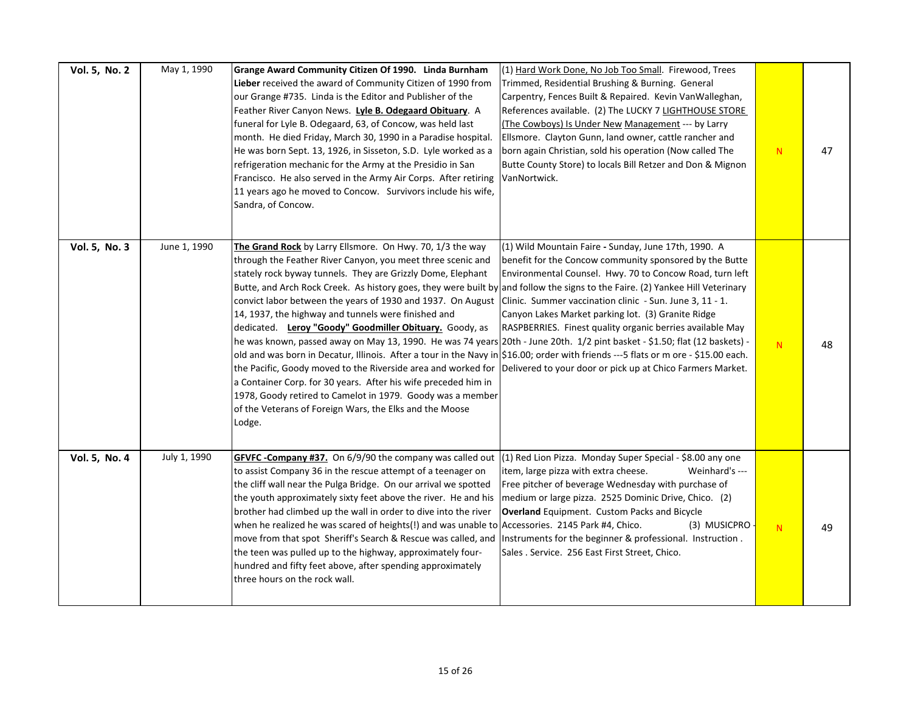| Vol. 5, No. 2 | May 1, 1990  | Grange Award Community Citizen Of 1990. Linda Burnham<br>Lieber received the award of Community Citizen of 1990 from<br>our Grange #735. Linda is the Editor and Publisher of the<br>Feather River Canyon News. Lyle B. Odegaard Obituary. A<br>funeral for Lyle B. Odegaard, 63, of Concow, was held last<br>month. He died Friday, March 30, 1990 in a Paradise hospital.<br>He was born Sept. 13, 1926, in Sisseton, S.D. Lyle worked as a<br>refrigeration mechanic for the Army at the Presidio in San<br>Francisco. He also served in the Army Air Corps. After retiring<br>11 years ago he moved to Concow. Survivors include his wife,<br>Sandra, of Concow.                                                                                                                                                                                                                                                                                                                                                                                                                                            | (1) Hard Work Done, No Job Too Small. Firewood, Trees<br>Trimmed, Residential Brushing & Burning. General<br>Carpentry, Fences Built & Repaired. Kevin VanWalleghan,<br>References available. (2) The LUCKY 7 LIGHTHOUSE STORE<br>(The Cowboys) Is Under New Management --- by Larry<br>Ellsmore. Clayton Gunn, land owner, cattle rancher and<br>born again Christian, sold his operation (Now called The<br>Butte County Store) to locals Bill Retzer and Don & Mignon<br>VanNortwick. | N         | 47 |
|---------------|--------------|-----------------------------------------------------------------------------------------------------------------------------------------------------------------------------------------------------------------------------------------------------------------------------------------------------------------------------------------------------------------------------------------------------------------------------------------------------------------------------------------------------------------------------------------------------------------------------------------------------------------------------------------------------------------------------------------------------------------------------------------------------------------------------------------------------------------------------------------------------------------------------------------------------------------------------------------------------------------------------------------------------------------------------------------------------------------------------------------------------------------|------------------------------------------------------------------------------------------------------------------------------------------------------------------------------------------------------------------------------------------------------------------------------------------------------------------------------------------------------------------------------------------------------------------------------------------------------------------------------------------|-----------|----|
| Vol. 5, No. 3 | June 1, 1990 | The Grand Rock by Larry Ellsmore. On Hwy. 70, 1/3 the way<br>through the Feather River Canyon, you meet three scenic and<br>stately rock byway tunnels. They are Grizzly Dome, Elephant<br>Butte, and Arch Rock Creek. As history goes, they were built by and follow the signs to the Faire. (2) Yankee Hill Veterinary<br>convict labor between the years of 1930 and 1937. On August<br>14, 1937, the highway and tunnels were finished and<br>dedicated. Leroy "Goody" Goodmiller Obituary. Goody, as<br> he was known, passed away on May 13, 1990. He was 74 years 20th - June 20th. 1/2 pint basket - \$1.50; flat (12 baskets) -<br>old and was born in Decatur, Illinois. After a tour in the Navy in \$16.00; order with friends ---5 flats or m ore - \$15.00 each.<br>the Pacific, Goody moved to the Riverside area and worked for Delivered to your door or pick up at Chico Farmers Market.<br>a Container Corp. for 30 years. After his wife preceded him in<br>1978, Goody retired to Camelot in 1979. Goody was a member<br>of the Veterans of Foreign Wars, the Elks and the Moose<br>Lodge. | (1) Wild Mountain Faire - Sunday, June 17th, 1990. A<br>benefit for the Concow community sponsored by the Butte<br>Environmental Counsel. Hwy. 70 to Concow Road, turn left<br>Clinic. Summer vaccination clinic - Sun. June 3, 11 - 1.<br>Canyon Lakes Market parking lot. (3) Granite Ridge<br>RASPBERRIES. Finest quality organic berries available May                                                                                                                               | N         | 48 |
| Vol. 5, No. 4 | July 1, 1990 | GFVFC - Company #37. On 6/9/90 the company was called out<br>to assist Company 36 in the rescue attempt of a teenager on<br>the cliff wall near the Pulga Bridge. On our arrival we spotted<br>the youth approximately sixty feet above the river. He and his<br>brother had climbed up the wall in order to dive into the river<br>when he realized he was scared of heights(!) and was unable to Accessories. 2145 Park #4, Chico.<br>move from that spot Sheriff's Search & Rescue was called, and<br>the teen was pulled up to the highway, approximately four-<br>hundred and fifty feet above, after spending approximately<br>three hours on the rock wall.                                                                                                                                                                                                                                                                                                                                                                                                                                              | (1) Red Lion Pizza. Monday Super Special - \$8.00 any one<br>item, large pizza with extra cheese.<br>Weinhard's ---<br>Free pitcher of beverage Wednesday with purchase of<br>medium or large pizza. 2525 Dominic Drive, Chico. (2)<br><b>Overland</b> Equipment. Custom Packs and Bicycle<br>(3) MUSICPRO<br>Instruments for the beginner & professional. Instruction.<br>Sales . Service. 256 East First Street, Chico.                                                                | ${\bf N}$ | 49 |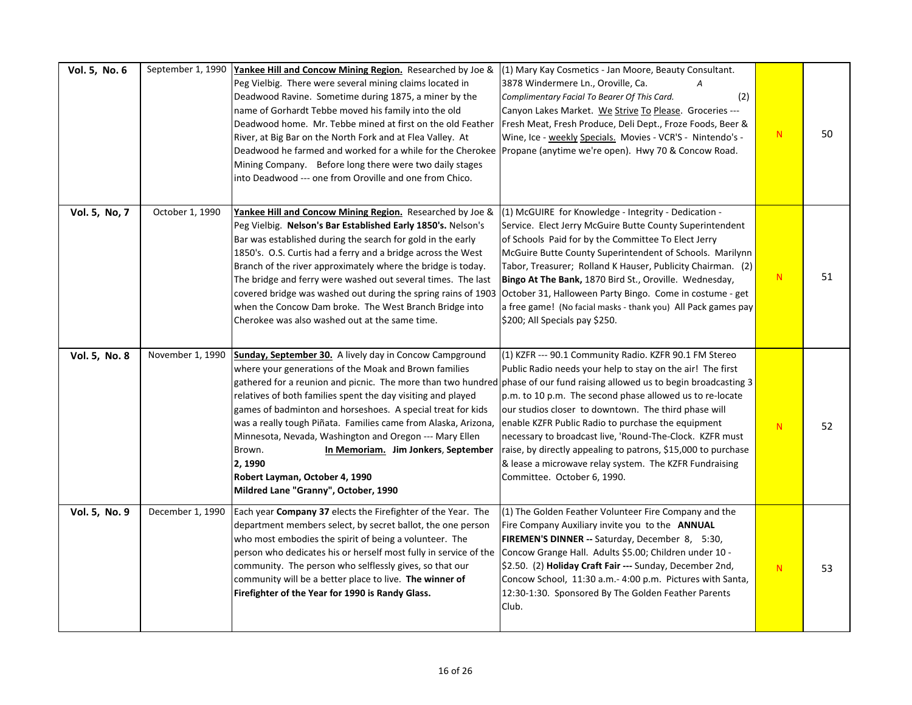| Vol. 5, No. 6 | September 1, 1990 | Yankee Hill and Concow Mining Region. Researched by Joe &<br>Peg Vielbig. There were several mining claims located in<br>Deadwood Ravine. Sometime during 1875, a miner by the<br>name of Gorhardt Tebbe moved his family into the old<br>Deadwood home. Mr. Tebbe mined at first on the old Feather<br>River, at Big Bar on the North Fork and at Flea Valley. At<br>Deadwood he farmed and worked for a while for the Cherokee Propane (anytime we're open). Hwy 70 & Concow Road.<br>Mining Company. Before long there were two daily stages<br>into Deadwood --- one from Oroville and one from Chico.                                      | (1) Mary Kay Cosmetics - Jan Moore, Beauty Consultant.<br>3878 Windermere Ln., Oroville, Ca.<br>$\overline{A}$<br>(2)<br>Complimentary Facial To Bearer Of This Card.<br>Canyon Lakes Market. We Strive To Please. Groceries ---<br>Fresh Meat, Fresh Produce, Deli Dept., Froze Foods, Beer &<br>Wine, Ice - weekly Specials. Movies - VCR'S - Nintendo's -                                                                                                                                                                | N  | 50 |
|---------------|-------------------|-------------------------------------------------------------------------------------------------------------------------------------------------------------------------------------------------------------------------------------------------------------------------------------------------------------------------------------------------------------------------------------------------------------------------------------------------------------------------------------------------------------------------------------------------------------------------------------------------------------------------------------------------|-----------------------------------------------------------------------------------------------------------------------------------------------------------------------------------------------------------------------------------------------------------------------------------------------------------------------------------------------------------------------------------------------------------------------------------------------------------------------------------------------------------------------------|----|----|
| Vol. 5, No, 7 | October 1, 1990   | Yankee Hill and Concow Mining Region. Researched by Joe &<br>Peg Vielbig. Nelson's Bar Established Early 1850's. Nelson's<br>Bar was established during the search for gold in the early<br>1850's. O.S. Curtis had a ferry and a bridge across the West<br>Branch of the river approximately where the bridge is today.<br>The bridge and ferry were washed out several times. The last<br>covered bridge was washed out during the spring rains of 1903<br>when the Concow Dam broke. The West Branch Bridge into<br>Cherokee was also washed out at the same time.                                                                           | (1) McGUIRE for Knowledge - Integrity - Dedication -<br>Service. Elect Jerry McGuire Butte County Superintendent<br>of Schools Paid for by the Committee To Elect Jerry<br>McGuire Butte County Superintendent of Schools. Marilynn<br>Tabor, Treasurer; Rolland K Hauser, Publicity Chairman. (2)<br>Bingo At The Bank, 1870 Bird St., Oroville. Wednesday,<br>October 31, Halloween Party Bingo. Come in costume - get<br>a free game! (No facial masks - thank you) All Pack games pay<br>\$200; All Specials pay \$250. | N  | 51 |
| Vol. 5, No. 8 | November 1, 1990  | Sunday, September 30. A lively day in Concow Campground<br>where your generations of the Moak and Brown families<br>gathered for a reunion and picnic. The more than two hundred phase of our fund raising allowed us to begin broadcasting 3<br>relatives of both families spent the day visiting and played<br>games of badminton and horseshoes. A special treat for kids<br>was a really tough Piñata. Families came from Alaska, Arizona,<br>Minnesota, Nevada, Washington and Oregon --- Mary Ellen<br>In Memoriam. Jim Jonkers, September<br>Brown.<br>2, 1990<br>Robert Layman, October 4, 1990<br>Mildred Lane "Granny", October, 1990 | (1) KZFR --- 90.1 Community Radio. KZFR 90.1 FM Stereo<br>Public Radio needs your help to stay on the air! The first<br>p.m. to 10 p.m. The second phase allowed us to re-locate<br>our studios closer to downtown. The third phase will<br>enable KZFR Public Radio to purchase the equipment<br>necessary to broadcast live, 'Round-The-Clock. KZFR must<br>raise, by directly appealing to patrons, \$15,000 to purchase<br>& lease a microwave relay system. The KZFR Fundraising<br>Committee. October 6, 1990.        | N. | 52 |
| Vol. 5, No. 9 | December 1, 1990  | Each year Company 37 elects the Firefighter of the Year. The<br>department members select, by secret ballot, the one person<br>who most embodies the spirit of being a volunteer. The<br>person who dedicates his or herself most fully in service of the<br>community. The person who selflessly gives, so that our<br>community will be a better place to live. The winner of<br>Firefighter of the Year for 1990 is Randy Glass.                                                                                                                                                                                                             | (1) The Golden Feather Volunteer Fire Company and the<br>Fire Company Auxiliary invite you to the ANNUAL<br>FIREMEN'S DINNER -- Saturday, December 8, 5:30,<br>Concow Grange Hall. Adults \$5.00; Children under 10 -<br>\$2.50. (2) Holiday Craft Fair --- Sunday, December 2nd,<br>Concow School, 11:30 a.m.- 4:00 p.m. Pictures with Santa,<br>12:30-1:30. Sponsored By The Golden Feather Parents<br>Club.                                                                                                              | N  | 53 |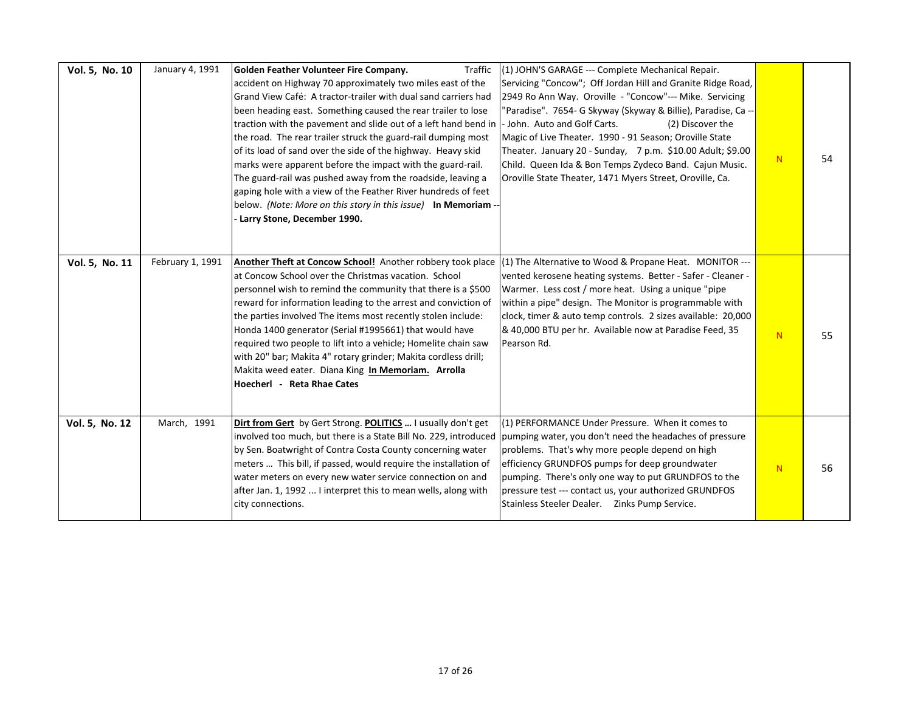| Vol. 5, No. 10 | January 4, 1991  | Traffic<br>Golden Feather Volunteer Fire Company.<br>accident on Highway 70 approximately two miles east of the<br>Grand View Café: A tractor-trailer with dual sand carriers had<br>been heading east. Something caused the rear trailer to lose<br>traction with the pavement and slide out of a left hand bend in<br>the road. The rear trailer struck the guard-rail dumping most<br>of its load of sand over the side of the highway. Heavy skid<br>marks were apparent before the impact with the guard-rail.<br>The guard-rail was pushed away from the roadside, leaving a<br>gaping hole with a view of the Feather River hundreds of feet<br>below. (Note: More on this story in this issue) In Memoriam<br>Larry Stone, December 1990. | (1) JOHN'S GARAGE --- Complete Mechanical Repair.<br>Servicing "Concow"; Off Jordan Hill and Granite Ridge Road,<br>2949 Ro Ann Way. Oroville - "Concow"--- Mike. Servicing<br>'Paradise". 7654- G Skyway (Skyway & Billie), Paradise, Ca --<br>John. Auto and Golf Carts.<br>(2) Discover the<br>Magic of Live Theater. 1990 - 91 Season; Oroville State<br>Theater. January 20 - Sunday, 7 p.m. \$10.00 Adult; \$9.00<br>Child. Queen Ida & Bon Temps Zydeco Band. Cajun Music.<br>Oroville State Theater, 1471 Myers Street, Oroville, Ca. | N | 54 |
|----------------|------------------|---------------------------------------------------------------------------------------------------------------------------------------------------------------------------------------------------------------------------------------------------------------------------------------------------------------------------------------------------------------------------------------------------------------------------------------------------------------------------------------------------------------------------------------------------------------------------------------------------------------------------------------------------------------------------------------------------------------------------------------------------|-----------------------------------------------------------------------------------------------------------------------------------------------------------------------------------------------------------------------------------------------------------------------------------------------------------------------------------------------------------------------------------------------------------------------------------------------------------------------------------------------------------------------------------------------|---|----|
| Vol. 5, No. 11 | February 1, 1991 | Another Theft at Concow School! Another robbery took place (1) The Alternative to Wood & Propane Heat. MONITOR ---<br>at Concow School over the Christmas vacation. School<br>personnel wish to remind the community that there is a \$500<br>reward for information leading to the arrest and conviction of<br>the parties involved The items most recently stolen include:<br>Honda 1400 generator (Serial #1995661) that would have<br>required two people to lift into a vehicle; Homelite chain saw<br>with 20" bar; Makita 4" rotary grinder; Makita cordless drill;<br>Makita weed eater. Diana King In Memoriam. Arrolla<br>Hoecherl - Reta Rhae Cates                                                                                    | vented kerosene heating systems. Better - Safer - Cleaner -<br>Warmer. Less cost / more heat. Using a unique "pipe<br>within a pipe" design. The Monitor is programmable with<br>clock, timer & auto temp controls. 2 sizes available: 20,000<br>& 40,000 BTU per hr. Available now at Paradise Feed, 35<br>Pearson Rd.                                                                                                                                                                                                                       | N | 55 |
| Vol. 5, No. 12 | March, 1991      | Dirt from Gert by Gert Strong. POLITICS  I usually don't get<br>involved too much, but there is a State Bill No. 229, introduced<br>by Sen. Boatwright of Contra Costa County concerning water<br>meters  This bill, if passed, would require the installation of<br>water meters on every new water service connection on and<br>after Jan. 1, 1992  I interpret this to mean wells, along with<br>city connections.                                                                                                                                                                                                                                                                                                                             | (1) PERFORMANCE Under Pressure. When it comes to<br>pumping water, you don't need the headaches of pressure<br>problems. That's why more people depend on high<br>efficiency GRUNDFOS pumps for deep groundwater<br>pumping. There's only one way to put GRUNDFOS to the<br>pressure test --- contact us, your authorized GRUNDFOS<br>Stainless Steeler Dealer.  Zinks Pump Service.                                                                                                                                                          | N | 56 |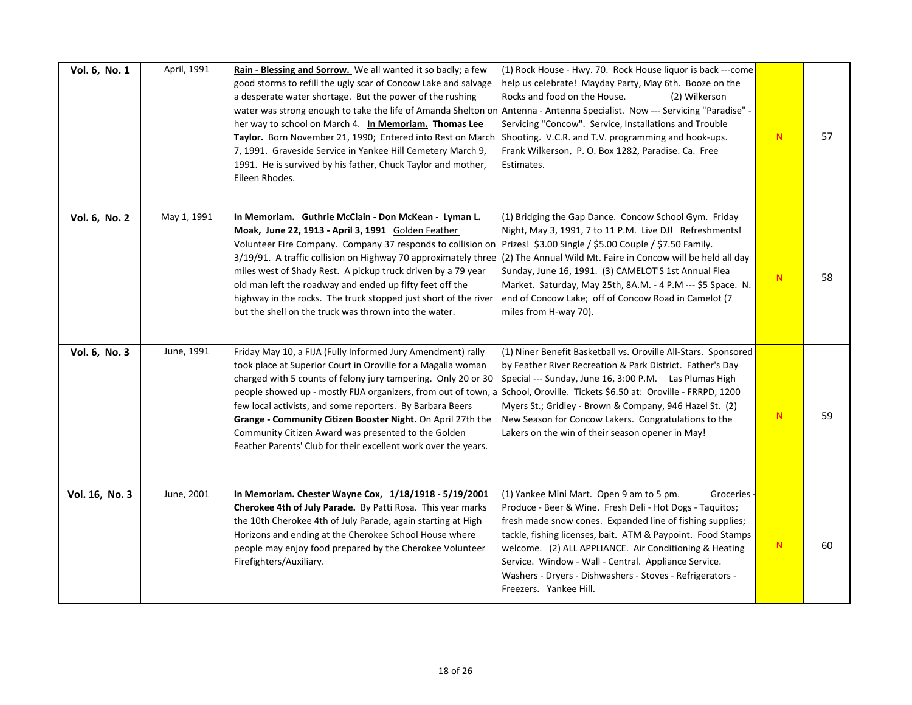| Vol. 6, No. 1  | April, 1991 | Rain - Blessing and Sorrow. We all wanted it so badly; a few<br>good storms to refill the ugly scar of Concow Lake and salvage<br>a desperate water shortage. But the power of the rushing<br>water was strong enough to take the life of Amanda Shelton on Antenna - Antenna Specialist. Now --- Servicing "Paradise" -<br>her way to school on March 4. In Memoriam. Thomas Lee<br>Taylor. Born November 21, 1990; Entered into Rest on March<br>7, 1991. Graveside Service in Yankee Hill Cemetery March 9,<br>1991. He is survived by his father, Chuck Taylor and mother,<br>Eileen Rhodes. | (1) Rock House - Hwy. 70. Rock House liquor is back ---come<br>help us celebrate! Mayday Party, May 6th. Booze on the<br>Rocks and food on the House.<br>(2) Wilkerson<br>Servicing "Concow". Service, Installations and Trouble<br>Shooting. V.C.R. and T.V. programming and hook-ups.<br>Frank Wilkerson, P. O. Box 1282, Paradise. Ca. Free<br>Estimates.                                                                                             | N | 57 |
|----------------|-------------|--------------------------------------------------------------------------------------------------------------------------------------------------------------------------------------------------------------------------------------------------------------------------------------------------------------------------------------------------------------------------------------------------------------------------------------------------------------------------------------------------------------------------------------------------------------------------------------------------|----------------------------------------------------------------------------------------------------------------------------------------------------------------------------------------------------------------------------------------------------------------------------------------------------------------------------------------------------------------------------------------------------------------------------------------------------------|---|----|
| Vol. 6, No. 2  | May 1, 1991 | In Memoriam. Guthrie McClain - Don McKean - Lyman L.<br>Moak, June 22, 1913 - April 3, 1991 Golden Feather<br>Volunteer Fire Company. Company 37 responds to collision on<br>3/19/91. A traffic collision on Highway 70 approximately three<br>miles west of Shady Rest. A pickup truck driven by a 79 year<br>old man left the roadway and ended up fifty feet off the<br>highway in the rocks. The truck stopped just short of the river<br>but the shell on the truck was thrown into the water.                                                                                              | (1) Bridging the Gap Dance. Concow School Gym. Friday<br>Night, May 3, 1991, 7 to 11 P.M. Live DJ! Refreshments!<br>Prizes! \$3.00 Single / \$5.00 Couple / \$7.50 Family.<br>(2) The Annual Wild Mt. Faire in Concow will be held all day<br>Sunday, June 16, 1991. (3) CAMELOT'S 1st Annual Flea<br>Market. Saturday, May 25th, 8A.M. - 4 P.M --- \$5 Space. N.<br>end of Concow Lake; off of Concow Road in Camelot (7<br>miles from H-way 70).       | N | 58 |
| Vol. 6, No. 3  | June, 1991  | Friday May 10, a FIJA (Fully Informed Jury Amendment) rally<br>took place at Superior Court in Oroville for a Magalia woman<br>charged with 5 counts of felony jury tampering. Only 20 or 30<br>people showed up - mostly FIJA organizers, from out of town, a School, Oroville. Tickets \$6.50 at: Oroville - FRRPD, 1200<br>few local activists, and some reporters. By Barbara Beers<br>Grange - Community Citizen Booster Night. On April 27th the<br>Community Citizen Award was presented to the Golden<br>Feather Parents' Club for their excellent work over the years.                  | (1) Niner Benefit Basketball vs. Oroville All-Stars. Sponsored<br>by Feather River Recreation & Park District. Father's Day<br>Special --- Sunday, June 16, 3:00 P.M. Las Plumas High<br>Myers St.; Gridley - Brown & Company, 946 Hazel St. (2)<br>New Season for Concow Lakers. Congratulations to the<br>Lakers on the win of their season opener in May!                                                                                             | N | 59 |
| Vol. 16, No. 3 | June, 2001  | In Memoriam. Chester Wayne Cox, 1/18/1918 - 5/19/2001<br>Cherokee 4th of July Parade. By Patti Rosa. This year marks<br>the 10th Cherokee 4th of July Parade, again starting at High<br>Horizons and ending at the Cherokee School House where<br>people may enjoy food prepared by the Cherokee Volunteer<br>Firefighters/Auxiliary.                                                                                                                                                                                                                                                            | (1) Yankee Mini Mart. Open 9 am to 5 pm.<br>Groceries -<br>Produce - Beer & Wine. Fresh Deli - Hot Dogs - Taquitos;<br>fresh made snow cones. Expanded line of fishing supplies;<br>tackle, fishing licenses, bait. ATM & Paypoint. Food Stamps<br>welcome. (2) ALL APPLIANCE. Air Conditioning & Heating<br>Service. Window - Wall - Central. Appliance Service.<br>Washers - Dryers - Dishwashers - Stoves - Refrigerators -<br>Freezers. Yankee Hill. | N | 60 |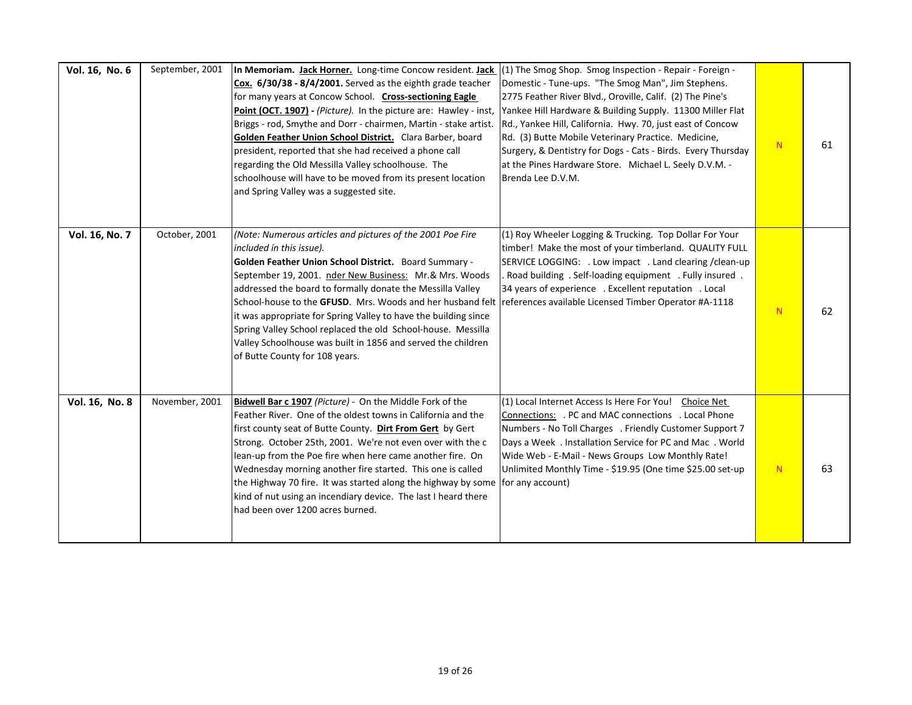| Vol. 16, No. 6 | September, 2001 | <b>In Memoriam. Jack Horner.</b> Long-time Concow resident. Jack (1) The Smog Shop. Smog Inspection - Repair - Foreign -<br>Cox. 6/30/38 - 8/4/2001. Served as the eighth grade teacher<br>for many years at Concow School. Cross-sectioning Eagle<br>Point (OCT. 1907) - (Picture). In the picture are: Hawley - inst,<br>Briggs - rod, Smythe and Dorr - chairmen, Martin - stake artist.<br>Golden Feather Union School District. Clara Barber, board<br>president, reported that she had received a phone call<br>regarding the Old Messilla Valley schoolhouse. The<br>schoolhouse will have to be moved from its present location<br>and Spring Valley was a suggested site. | Domestic - Tune-ups. "The Smog Man", Jim Stephens.<br>2775 Feather River Blvd., Oroville, Calif. (2) The Pine's<br>Yankee Hill Hardware & Building Supply. 11300 Miller Flat<br>Rd., Yankee Hill, California. Hwy. 70, just east of Concow<br>Rd. (3) Butte Mobile Veterinary Practice. Medicine,<br>Surgery, & Dentistry for Dogs - Cats - Birds. Every Thursday<br>at the Pines Hardware Store. Michael L. Seely D.V.M. -<br>Brenda Lee D.V.M. | N | 61 |
|----------------|-----------------|------------------------------------------------------------------------------------------------------------------------------------------------------------------------------------------------------------------------------------------------------------------------------------------------------------------------------------------------------------------------------------------------------------------------------------------------------------------------------------------------------------------------------------------------------------------------------------------------------------------------------------------------------------------------------------|--------------------------------------------------------------------------------------------------------------------------------------------------------------------------------------------------------------------------------------------------------------------------------------------------------------------------------------------------------------------------------------------------------------------------------------------------|---|----|
| Vol. 16, No. 7 | October, 2001   | (Note: Numerous articles and pictures of the 2001 Poe Fire<br>included in this issue).<br>Golden Feather Union School District. Board Summary -<br>September 19, 2001. nder New Business: Mr.& Mrs. Woods<br>addressed the board to formally donate the Messilla Valley<br>School-house to the GFUSD. Mrs. Woods and her husband felt references available Licensed Timber Operator #A-1118<br>it was appropriate for Spring Valley to have the building since<br>Spring Valley School replaced the old School-house. Messilla<br>Valley Schoolhouse was built in 1856 and served the children<br>of Butte County for 108 years.                                                   | (1) Roy Wheeler Logging & Trucking. Top Dollar For Your<br>timber! Make the most of your timberland. QUALITY FULL<br>SERVICE LOGGING: . Low impact . Land clearing / clean-up<br>Road building . Self-loading equipment . Fully insured.<br>34 years of experience . Excellent reputation . Local                                                                                                                                                | N | 62 |
| Vol. 16, No. 8 | November, 2001  | Bidwell Bar c 1907 (Picture) - On the Middle Fork of the<br>Feather River. One of the oldest towns in California and the<br>first county seat of Butte County. Dirt From Gert by Gert<br>Strong. October 25th, 2001. We're not even over with the c<br>lean-up from the Poe fire when here came another fire. On<br>Wednesday morning another fire started. This one is called<br>the Highway 70 fire. It was started along the highway by some<br>kind of nut using an incendiary device. The last I heard there<br>had been over 1200 acres burned.                                                                                                                              | (1) Local Internet Access Is Here For You! Choice Net<br>Connections: . PC and MAC connections . Local Phone<br>Numbers - No Toll Charges . Friendly Customer Support 7<br>Days a Week . Installation Service for PC and Mac . World<br>Wide Web - E-Mail - News Groups Low Monthly Rate!<br>Unlimited Monthly Time - \$19.95 (One time \$25.00 set-up<br>for any account)                                                                       | N | 63 |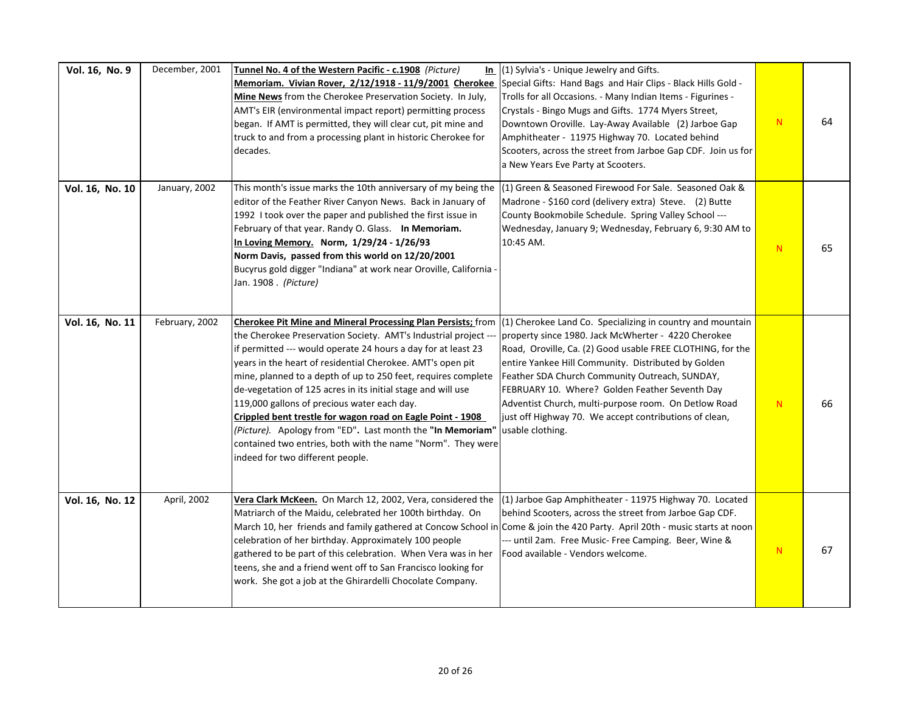| Vol. 16, No. 9  | December, 2001 | Tunnel No. 4 of the Western Pacific - c.1908 (Picture)<br>In<br>Memoriam. Vivian Rover, 2/12/1918 - 11/9/2001 Cherokee<br>Mine News from the Cherokee Preservation Society. In July,<br>AMT's EIR (environmental impact report) permitting process<br>began. If AMT is permitted, they will clear cut, pit mine and<br>truck to and from a processing plant in historic Cherokee for<br>decades.                                                                                                                                                                                                                                                                                     | (1) Sylvia's - Unique Jewelry and Gifts.<br>Special Gifts: Hand Bags and Hair Clips - Black Hills Gold -<br>Trolls for all Occasions. - Many Indian Items - Figurines -<br>Crystals - Bingo Mugs and Gifts. 1774 Myers Street,<br>Downtown Oroville. Lay-Away Available (2) Jarboe Gap<br>Amphitheater - 11975 Highway 70. Located behind<br>Scooters, across the street from Jarboe Gap CDF. Join us for<br>a New Years Eve Party at Scooters.                                    | N         | 64 |
|-----------------|----------------|--------------------------------------------------------------------------------------------------------------------------------------------------------------------------------------------------------------------------------------------------------------------------------------------------------------------------------------------------------------------------------------------------------------------------------------------------------------------------------------------------------------------------------------------------------------------------------------------------------------------------------------------------------------------------------------|------------------------------------------------------------------------------------------------------------------------------------------------------------------------------------------------------------------------------------------------------------------------------------------------------------------------------------------------------------------------------------------------------------------------------------------------------------------------------------|-----------|----|
| Vol. 16, No. 10 | January, 2002  | This month's issue marks the 10th anniversary of my being the<br>editor of the Feather River Canyon News. Back in January of<br>1992 I took over the paper and published the first issue in<br>February of that year. Randy O. Glass. In Memoriam.<br>In Loving Memory. Norm, 1/29/24 - 1/26/93<br>Norm Davis, passed from this world on 12/20/2001<br>Bucyrus gold digger "Indiana" at work near Oroville, California -<br>Jan. 1908 . (Picture)                                                                                                                                                                                                                                    | (1) Green & Seasoned Firewood For Sale. Seasoned Oak &<br>Madrone - \$160 cord (delivery extra) Steve. (2) Butte<br>County Bookmobile Schedule. Spring Valley School ---<br>Wednesday, January 9; Wednesday, February 6, 9:30 AM to<br>10:45 AM.                                                                                                                                                                                                                                   | N         | 65 |
| Vol. 16, No. 11 | February, 2002 | <b>Cherokee Pit Mine and Mineral Processing Plan Persists;</b> from<br>the Cherokee Preservation Society. AMT's Industrial project ---<br>if permitted --- would operate 24 hours a day for at least 23<br>years in the heart of residential Cherokee. AMT's open pit<br>mine, planned to a depth of up to 250 feet, requires complete<br>de-vegetation of 125 acres in its initial stage and will use<br>119,000 gallons of precious water each day.<br>Crippled bent trestle for wagon road on Eagle Point - 1908<br>(Picture). Apology from "ED". Last month the "In Memoriam"<br>contained two entries, both with the name "Norm". They were<br>indeed for two different people. | $(1)$ Cherokee Land Co. Specializing in country and mountain<br>property since 1980. Jack McWherter - 4220 Cherokee<br>Road, Oroville, Ca. (2) Good usable FREE CLOTHING, for the<br>entire Yankee Hill Community. Distributed by Golden<br>Feather SDA Church Community Outreach, SUNDAY,<br>FEBRUARY 10. Where? Golden Feather Seventh Day<br>Adventist Church, multi-purpose room. On Detlow Road<br>just off Highway 70. We accept contributions of clean,<br>usable clothing. | N         | 66 |
| Vol. 16, No. 12 | April, 2002    | Vera Clark McKeen. On March 12, 2002, Vera, considered the<br>Matriarch of the Maidu, celebrated her 100th birthday. On<br>March 10, her friends and family gathered at Concow School in Come & join the 420 Party. April 20th - music starts at noon<br>celebration of her birthday. Approximately 100 people<br>gathered to be part of this celebration. When Vera was in her<br>teens, she and a friend went off to San Francisco looking for<br>work. She got a job at the Ghirardelli Chocolate Company.                                                                                                                                                                        | (1) Jarboe Gap Amphitheater - 11975 Highway 70. Located<br>behind Scooters, across the street from Jarboe Gap CDF.<br>-- until 2am. Free Music- Free Camping. Beer, Wine &<br>Food available - Vendors welcome.                                                                                                                                                                                                                                                                    | ${\bf N}$ | 67 |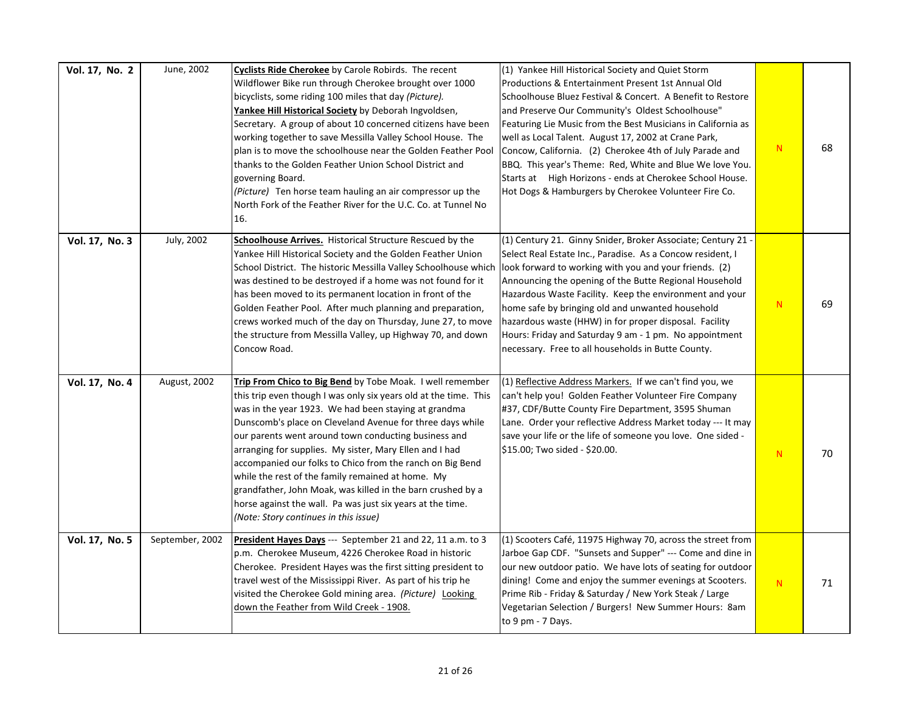| Vol. 17, No. 2 | June, 2002      | Cyclists Ride Cherokee by Carole Robirds. The recent<br>Wildflower Bike run through Cherokee brought over 1000<br>bicyclists, some riding 100 miles that day (Picture).<br>Yankee Hill Historical Society by Deborah Ingvoldsen,<br>Secretary. A group of about 10 concerned citizens have been<br>working together to save Messilla Valley School House. The<br>plan is to move the schoolhouse near the Golden Feather Pool<br>thanks to the Golden Feather Union School District and<br>governing Board.<br>(Picture) Ten horse team hauling an air compressor up the<br>North Fork of the Feather River for the U.C. Co. at Tunnel No<br>16.              | (1) Yankee Hill Historical Society and Quiet Storm<br>Productions & Entertainment Present 1st Annual Old<br>Schoolhouse Bluez Festival & Concert. A Benefit to Restore<br>and Preserve Our Community's Oldest Schoolhouse"<br>Featuring Lie Music from the Best Musicians in California as<br>well as Local Talent. August 17, 2002 at Crane Park,<br>Concow, California. (2) Cherokee 4th of July Parade and<br>BBQ. This year's Theme: Red, White and Blue We love You.<br>Starts at High Horizons - ends at Cherokee School House.<br>Hot Dogs & Hamburgers by Cherokee Volunteer Fire Co. | N | 68 |
|----------------|-----------------|---------------------------------------------------------------------------------------------------------------------------------------------------------------------------------------------------------------------------------------------------------------------------------------------------------------------------------------------------------------------------------------------------------------------------------------------------------------------------------------------------------------------------------------------------------------------------------------------------------------------------------------------------------------|-----------------------------------------------------------------------------------------------------------------------------------------------------------------------------------------------------------------------------------------------------------------------------------------------------------------------------------------------------------------------------------------------------------------------------------------------------------------------------------------------------------------------------------------------------------------------------------------------|---|----|
| Vol. 17, No. 3 | July, 2002      | Schoolhouse Arrives. Historical Structure Rescued by the<br>Yankee Hill Historical Society and the Golden Feather Union<br>School District. The historic Messilla Valley Schoolhouse which<br>was destined to be destroyed if a home was not found for it<br>has been moved to its permanent location in front of the<br>Golden Feather Pool. After much planning and preparation,<br>crews worked much of the day on Thursday, June 27, to move<br>the structure from Messilla Valley, up Highway 70, and down<br>Concow Road.                                                                                                                               | (1) Century 21. Ginny Snider, Broker Associate; Century 21 -<br>Select Real Estate Inc., Paradise. As a Concow resident, I<br>look forward to working with you and your friends. (2)<br>Announcing the opening of the Butte Regional Household<br>Hazardous Waste Facility. Keep the environment and your<br>home safe by bringing old and unwanted household<br>hazardous waste (HHW) in for proper disposal. Facility<br>Hours: Friday and Saturday 9 am - 1 pm. No appointment<br>necessary. Free to all households in Butte County.                                                       | N | 69 |
| Vol. 17, No. 4 | August, 2002    | Trip From Chico to Big Bend by Tobe Moak. I well remember<br>this trip even though I was only six years old at the time. This<br>was in the year 1923. We had been staying at grandma<br>Dunscomb's place on Cleveland Avenue for three days while<br>our parents went around town conducting business and<br>arranging for supplies. My sister, Mary Ellen and I had<br>accompanied our folks to Chico from the ranch on Big Bend<br>while the rest of the family remained at home. My<br>grandfather, John Moak, was killed in the barn crushed by a<br>horse against the wall. Pa was just six years at the time.<br>(Note: Story continues in this issue) | (1) Reflective Address Markers. If we can't find you, we<br>can't help you! Golden Feather Volunteer Fire Company<br>#37, CDF/Butte County Fire Department, 3595 Shuman<br>Lane. Order your reflective Address Market today --- It may<br>save your life or the life of someone you love. One sided -<br>\$15.00; Two sided - \$20.00.                                                                                                                                                                                                                                                        | N | 70 |
| Vol. 17, No. 5 | September, 2002 | President Hayes Days --- September 21 and 22, 11 a.m. to 3<br>p.m. Cherokee Museum, 4226 Cherokee Road in historic<br>Cherokee. President Hayes was the first sitting president to<br>travel west of the Mississippi River. As part of his trip he<br>visited the Cherokee Gold mining area. (Picture) Looking<br>down the Feather from Wild Creek - 1908.                                                                                                                                                                                                                                                                                                    | (1) Scooters Café, 11975 Highway 70, across the street from<br>Jarboe Gap CDF. "Sunsets and Supper" --- Come and dine in<br>our new outdoor patio. We have lots of seating for outdoor<br>dining! Come and enjoy the summer evenings at Scooters.<br>Prime Rib - Friday & Saturday / New York Steak / Large<br>Vegetarian Selection / Burgers! New Summer Hours: 8am<br>to $9$ pm $-7$ Days.                                                                                                                                                                                                  | N | 71 |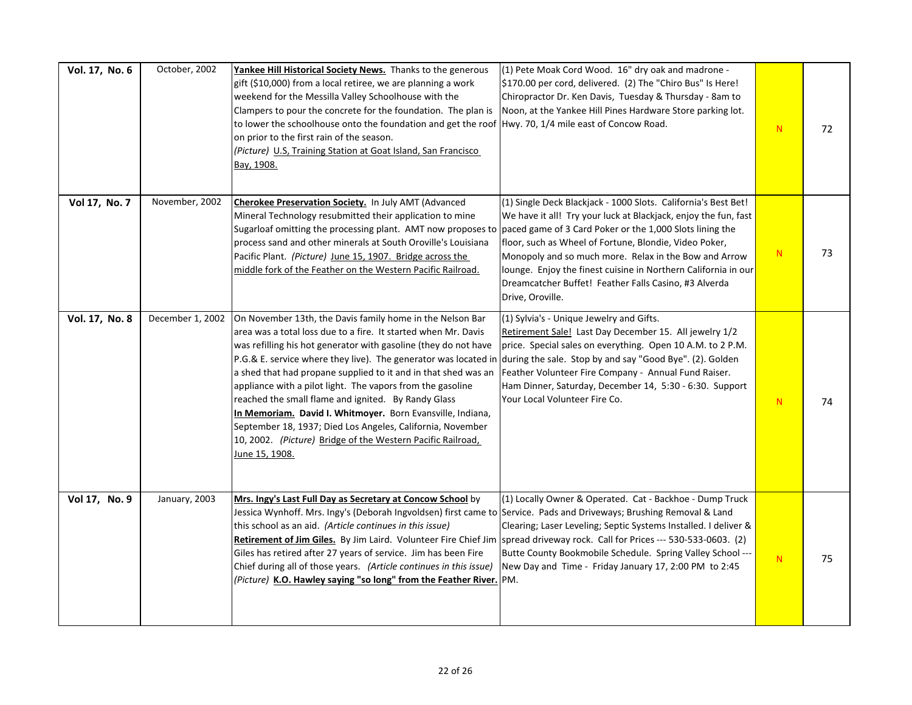| Vol. 17, No. 6 | October, 2002    | Yankee Hill Historical Society News. Thanks to the generous<br>gift (\$10,000) from a local retiree, we are planning a work<br>weekend for the Messilla Valley Schoolhouse with the<br>Clampers to pour the concrete for the foundation. The plan is<br>to lower the schoolhouse onto the foundation and get the roof Hwy. 70, 1/4 mile east of Concow Road.<br>on prior to the first rain of the season.<br>(Picture) U.S, Training Station at Goat Island, San Francisco<br>Bay, 1908.                                                                                                                                                                              | (1) Pete Moak Cord Wood. 16" dry oak and madrone -<br>\$170.00 per cord, delivered. (2) The "Chiro Bus" Is Here!<br>Chiropractor Dr. Ken Davis, Tuesday & Thursday - 8am to<br>Noon, at the Yankee Hill Pines Hardware Store parking lot.                                                                                                                                                                                                                       | ${\sf N}$ | 72 |
|----------------|------------------|-----------------------------------------------------------------------------------------------------------------------------------------------------------------------------------------------------------------------------------------------------------------------------------------------------------------------------------------------------------------------------------------------------------------------------------------------------------------------------------------------------------------------------------------------------------------------------------------------------------------------------------------------------------------------|-----------------------------------------------------------------------------------------------------------------------------------------------------------------------------------------------------------------------------------------------------------------------------------------------------------------------------------------------------------------------------------------------------------------------------------------------------------------|-----------|----|
| Vol 17, No. 7  | November, 2002   | Cherokee Preservation Society. In July AMT (Advanced<br>Mineral Technology resubmitted their application to mine<br>Sugarloaf omitting the processing plant. AMT now proposes to<br>process sand and other minerals at South Oroville's Louisiana<br>Pacific Plant. (Picture) June 15, 1907. Bridge across the<br>middle fork of the Feather on the Western Pacific Railroad.                                                                                                                                                                                                                                                                                         | (1) Single Deck Blackjack - 1000 Slots. California's Best Bet!<br>We have it all! Try your luck at Blackjack, enjoy the fun, fast<br>paced game of 3 Card Poker or the 1,000 Slots lining the<br>floor, such as Wheel of Fortune, Blondie, Video Poker,<br>Monopoly and so much more. Relax in the Bow and Arrow<br>lounge. Enjoy the finest cuisine in Northern California in our<br>Dreamcatcher Buffet! Feather Falls Casino, #3 Alverda<br>Drive, Oroville. | ${\bf N}$ | 73 |
| Vol. 17, No. 8 | December 1, 2002 | On November 13th, the Davis family home in the Nelson Bar<br>area was a total loss due to a fire. It started when Mr. Davis<br>was refilling his hot generator with gasoline (they do not have<br>P.G.& E. service where they live). The generator was located in<br>a shed that had propane supplied to it and in that shed was an<br>appliance with a pilot light. The vapors from the gasoline<br>reached the small flame and ignited. By Randy Glass<br>In Memoriam. David I. Whitmoyer. Born Evansville, Indiana,<br>September 18, 1937; Died Los Angeles, California, November<br>10, 2002. (Picture) Bridge of the Western Pacific Railroad,<br>June 15, 1908. | (1) Sylvia's - Unique Jewelry and Gifts.<br>Retirement Sale! Last Day December 15. All jewelry 1/2<br>price. Special sales on everything. Open 10 A.M. to 2 P.M.<br>during the sale. Stop by and say "Good Bye". (2). Golden<br>Feather Volunteer Fire Company - Annual Fund Raiser.<br>Ham Dinner, Saturday, December 14, 5:30 - 6:30. Support<br>Your Local Volunteer Fire Co.                                                                                | ${\sf N}$ | 74 |
| Vol 17, No. 9  | January, 2003    | Mrs. Ingy's Last Full Day as Secretary at Concow School by<br>Jessica Wynhoff. Mrs. Ingy's (Deborah Ingvoldsen) first came to Service. Pads and Driveways; Brushing Removal & Land<br>this school as an aid. (Article continues in this issue)<br>Retirement of Jim Giles. By Jim Laird. Volunteer Fire Chief Jim spread driveway rock. Call for Prices --- 530-533-0603. (2)<br>Giles has retired after 27 years of service. Jim has been Fire<br>Chief during all of those years. (Article continues in this issue)<br>(Picture) K.O. Hawley saying "so long" from the Feather River. PM.                                                                           | (1) Locally Owner & Operated. Cat - Backhoe - Dump Truck<br>Clearing; Laser Leveling; Septic Systems Installed. I deliver &<br>Butte County Bookmobile Schedule. Spring Valley School ---<br>New Day and Time - Friday January 17, 2:00 PM to 2:45                                                                                                                                                                                                              | N         | 75 |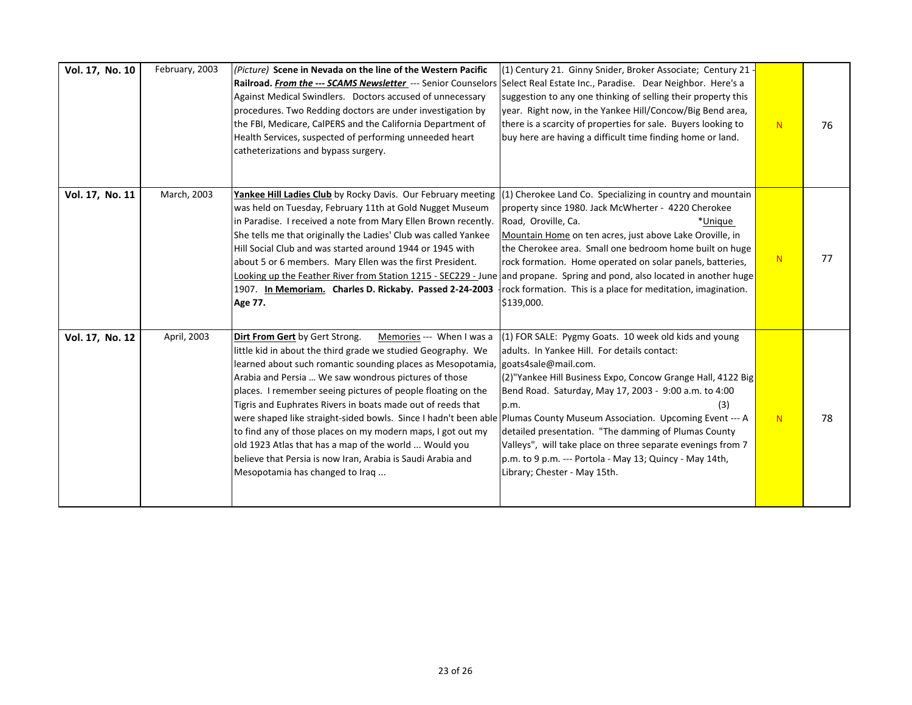| Vol. 17, No. 10 | February, 2003 | (Picture) Scene in Nevada on the line of the Western Pacific<br>Railroad. From the --- SCAMS Newsletter --- Senior Counselors Select Real Estate Inc., Paradise. Dear Neighbor. Here's a<br>Against Medical Swindlers. Doctors accused of unnecessary<br>procedures. Two Redding doctors are under investigation by<br>the FBI, Medicare, CalPERS and the California Department of<br>Health Services, suspected of performing unneeded heart<br>catheterizations and bypass surgery.                                                                                                                                                                                                                                                 | (1) Century 21. Ginny Snider, Broker Associate; Century 21 -<br>suggestion to any one thinking of selling their property this<br>year. Right now, in the Yankee Hill/Concow/Big Bend area,<br>there is a scarcity of properties for sale. Buyers looking to<br>buy here are having a difficult time finding home or land.                                                                                                                                                              | N. | 76 |
|-----------------|----------------|---------------------------------------------------------------------------------------------------------------------------------------------------------------------------------------------------------------------------------------------------------------------------------------------------------------------------------------------------------------------------------------------------------------------------------------------------------------------------------------------------------------------------------------------------------------------------------------------------------------------------------------------------------------------------------------------------------------------------------------|----------------------------------------------------------------------------------------------------------------------------------------------------------------------------------------------------------------------------------------------------------------------------------------------------------------------------------------------------------------------------------------------------------------------------------------------------------------------------------------|----|----|
| Vol. 17, No. 11 | March, 2003    | Yankee Hill Ladies Club by Rocky Davis. Our February meeting<br>was held on Tuesday, February 11th at Gold Nugget Museum<br>in Paradise. I received a note from Mary Ellen Brown recently.<br>She tells me that originally the Ladies' Club was called Yankee<br>Hill Social Club and was started around 1944 or 1945 with<br>about 5 or 6 members. Mary Ellen was the first President.<br>Looking up the Feather River from Station 1215 - SEC229 - June<br>1907. In Memoriam. Charles D. Rickaby. Passed 2-24-2003<br>Age 77.                                                                                                                                                                                                       | $(1)$ Cherokee Land Co. Specializing in country and mountain<br>property since 1980. Jack McWherter - 4220 Cherokee<br>Road, Oroville, Ca.<br>*Unique<br>Mountain Home on ten acres, just above Lake Oroville, in<br>the Cherokee area. Small one bedroom home built on huge<br>rock formation. Home operated on solar panels, batteries,<br>and propane. Spring and pond, also located in another huge<br>rock formation. This is a place for meditation, imagination.<br>\$139,000.  | N  | 77 |
| Vol. 17, No. 12 | April, 2003    | Dirt From Gert by Gert Strong.<br>Memories --- When I was a<br>little kid in about the third grade we studied Geography. We<br>learned about such romantic sounding places as Mesopotamia,<br>Arabia and Persia  We saw wondrous pictures of those<br>places. I remember seeing pictures of people floating on the<br>Tigris and Euphrates Rivers in boats made out of reeds that<br>were shaped like straight-sided bowls. Since I hadn't been able Plumas County Museum Association. Upcoming Event --- A<br>to find any of those places on my modern maps, I got out my<br>old 1923 Atlas that has a map of the world  Would you<br>believe that Persia is now Iran, Arabia is Saudi Arabia and<br>Mesopotamia has changed to Iraq | (1) FOR SALE: Pygmy Goats. 10 week old kids and young<br>adults. In Yankee Hill. For details contact:<br>goats4sale@mail.com.<br>(2)"Yankee Hill Business Expo, Concow Grange Hall, 4122 Big<br>Bend Road. Saturday, May 17, 2003 - 9:00 a.m. to 4:00<br>p.m.<br>(3)<br>detailed presentation. "The damming of Plumas County<br>Valleys", will take place on three separate evenings from 7<br>p.m. to 9 p.m. --- Portola - May 13; Quincy - May 14th,<br>Library; Chester - May 15th. | N  | 78 |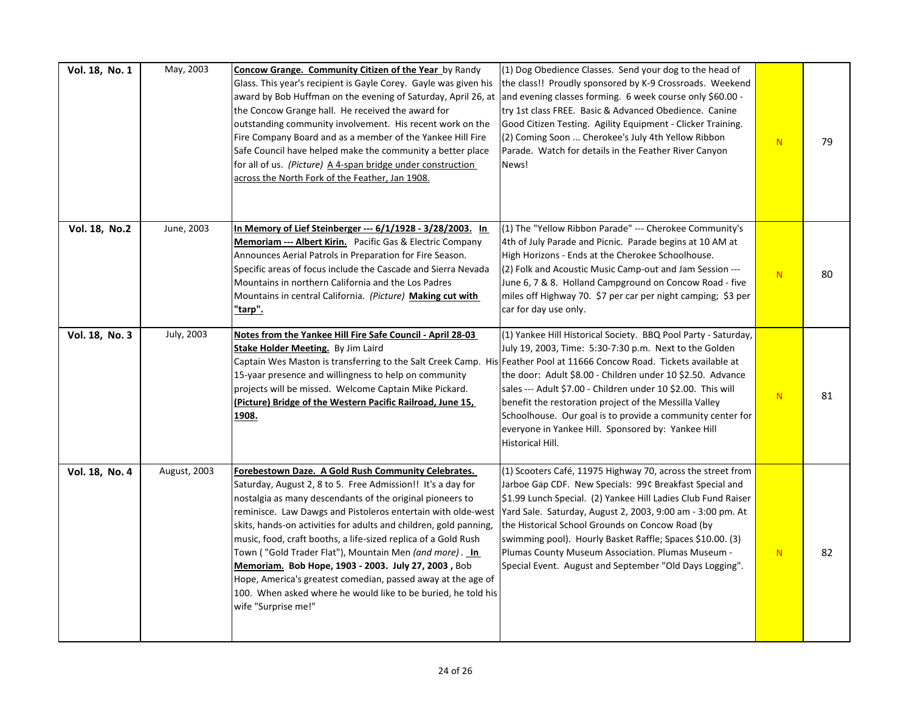| Vol. 18, No. 1 | May, 2003    | <b>Concow Grange. Community Citizen of the Year by Randy</b><br>Glass. This year's recipient is Gayle Corey. Gayle was given his<br>award by Bob Huffman on the evening of Saturday, April 26, at<br>the Concow Grange hall. He received the award for<br>outstanding community involvement. His recent work on the<br>Fire Company Board and as a member of the Yankee Hill Fire<br>Safe Council have helped make the community a better place<br>for all of us. (Picture) A 4-span bridge under construction<br>across the North Fork of the Feather, Jan 1908.                                                                                                               | (1) Dog Obedience Classes. Send your dog to the head of<br>the class!! Proudly sponsored by K-9 Crossroads. Weekend<br>and evening classes forming. 6 week course only \$60.00 -<br>try 1st class FREE. Basic & Advanced Obedience. Canine<br>Good Citizen Testing. Agility Equipment - Clicker Training.<br>(2) Coming Soon  Cherokee's July 4th Yellow Ribbon<br>Parade. Watch for details in the Feather River Canyon<br>News!                                                      | N | 79 |
|----------------|--------------|---------------------------------------------------------------------------------------------------------------------------------------------------------------------------------------------------------------------------------------------------------------------------------------------------------------------------------------------------------------------------------------------------------------------------------------------------------------------------------------------------------------------------------------------------------------------------------------------------------------------------------------------------------------------------------|----------------------------------------------------------------------------------------------------------------------------------------------------------------------------------------------------------------------------------------------------------------------------------------------------------------------------------------------------------------------------------------------------------------------------------------------------------------------------------------|---|----|
| Vol. 18, No.2  | June, 2003   | In Memory of Lief Steinberger --- 6/1/1928 - 3/28/2003. In<br><b>Memoriam --- Albert Kirin.</b> Pacific Gas & Electric Company<br>Announces Aerial Patrols in Preparation for Fire Season.<br>Specific areas of focus include the Cascade and Sierra Nevada<br>Mountains in northern California and the Los Padres<br>Mountains in central California. (Picture) Making cut with<br>"tarp".                                                                                                                                                                                                                                                                                     | (1) The "Yellow Ribbon Parade" --- Cherokee Community's<br>4th of July Parade and Picnic. Parade begins at 10 AM at<br>High Horizons - Ends at the Cherokee Schoolhouse.<br>(2) Folk and Acoustic Music Camp-out and Jam Session ---<br>June 6, 7 & 8. Holland Campground on Concow Road - five<br>miles off Highway 70. \$7 per car per night camping; \$3 per<br>car for day use only.                                                                                               | N | 80 |
| Vol. 18, No. 3 | July, 2003   | Notes from the Yankee Hill Fire Safe Council - April 28-03<br>Stake Holder Meeting. By Jim Laird<br>Captain Wes Maston is transferring to the Salt Creek Camp. His Feather Pool at 11666 Concow Road. Tickets available at<br>15-yaar presence and willingness to help on community<br>projects will be missed. Welcome Captain Mike Pickard.<br>(Picture) Bridge of the Western Pacific Railroad, June 15,<br><u> 1908.</u>                                                                                                                                                                                                                                                    | (1) Yankee Hill Historical Society. BBQ Pool Party - Saturday,<br>July 19, 2003, Time: 5:30-7:30 p.m. Next to the Golden<br>the door: Adult \$8.00 - Children under 10 \$2.50. Advance<br>sales --- Adult \$7.00 - Children under 10 \$2.00. This will<br>benefit the restoration project of the Messilla Valley<br>Schoolhouse. Our goal is to provide a community center for<br>everyone in Yankee Hill. Sponsored by: Yankee Hill<br>Historical Hill.                               | N | 81 |
| Vol. 18, No. 4 | August, 2003 | Forebestown Daze. A Gold Rush Community Celebrates.<br>Saturday, August 2, 8 to 5. Free Admission!! It's a day for<br>nostalgia as many descendants of the original pioneers to<br>reminisce. Law Dawgs and Pistoleros entertain with olde-west<br>skits, hands-on activities for adults and children, gold panning,<br>music, food, craft booths, a life-sized replica of a Gold Rush<br>Town ( "Gold Trader Flat"), Mountain Men <i>(and more)</i> . <u>In</u><br>Memoriam. Bob Hope, 1903 - 2003. July 27, 2003, Bob<br>Hope, America's greatest comedian, passed away at the age of<br>100. When asked where he would like to be buried, he told his<br>wife "Surprise me!" | (1) Scooters Café, 11975 Highway 70, across the street from<br>Jarboe Gap CDF. New Specials: 99¢ Breakfast Special and<br>\$1.99 Lunch Special. (2) Yankee Hill Ladies Club Fund Raiser<br>Yard Sale. Saturday, August 2, 2003, 9:00 am - 3:00 pm. At<br>the Historical School Grounds on Concow Road (by<br>swimming pool). Hourly Basket Raffle; Spaces \$10.00. (3)<br>Plumas County Museum Association. Plumas Museum -<br>Special Event. August and September "Old Days Logging". | N | 82 |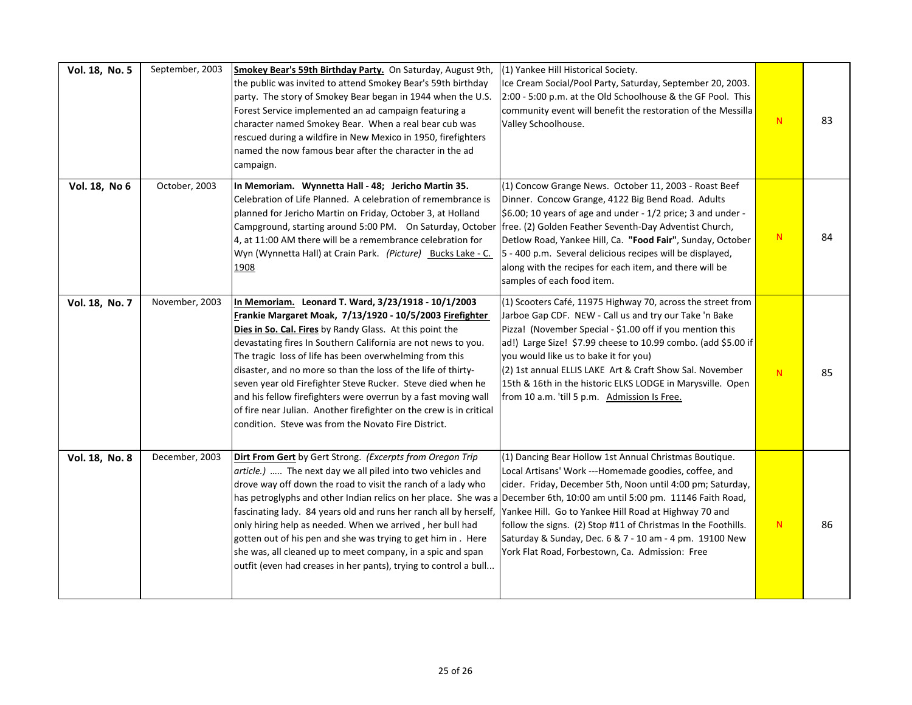| Vol. 18, No. 5 | September, 2003 | Smokey Bear's 59th Birthday Party. On Saturday, August 9th,<br>the public was invited to attend Smokey Bear's 59th birthday<br>party. The story of Smokey Bear began in 1944 when the U.S.<br>Forest Service implemented an ad campaign featuring a<br>character named Smokey Bear. When a real bear cub was<br>rescued during a wildfire in New Mexico in 1950, firefighters<br>named the now famous bear after the character in the ad<br>campaign.                                                                                                                                                                                                   | (1) Yankee Hill Historical Society.<br>Ice Cream Social/Pool Party, Saturday, September 20, 2003.<br>2:00 - 5:00 p.m. at the Old Schoolhouse & the GF Pool. This<br>community event will benefit the restoration of the Messilla<br>Valley Schoolhouse.                                                                                                                                                                                                                | ${\bf N}$ | 83 |
|----------------|-----------------|---------------------------------------------------------------------------------------------------------------------------------------------------------------------------------------------------------------------------------------------------------------------------------------------------------------------------------------------------------------------------------------------------------------------------------------------------------------------------------------------------------------------------------------------------------------------------------------------------------------------------------------------------------|------------------------------------------------------------------------------------------------------------------------------------------------------------------------------------------------------------------------------------------------------------------------------------------------------------------------------------------------------------------------------------------------------------------------------------------------------------------------|-----------|----|
| Vol. 18, No 6  | October, 2003   | In Memoriam. Wynnetta Hall - 48; Jericho Martin 35.<br>Celebration of Life Planned. A celebration of remembrance is<br>planned for Jericho Martin on Friday, October 3, at Holland<br>Campground, starting around 5:00 PM. On Saturday, October free. (2) Golden Feather Seventh-Day Adventist Church,<br>4, at 11:00 AM there will be a remembrance celebration for<br>Wyn (Wynnetta Hall) at Crain Park. (Picture) Bucks Lake - C.<br>1908                                                                                                                                                                                                            | (1) Concow Grange News. October 11, 2003 - Roast Beef<br>Dinner. Concow Grange, 4122 Big Bend Road. Adults<br>\$6.00; 10 years of age and under - 1/2 price; 3 and under -<br>Detlow Road, Yankee Hill, Ca. "Food Fair", Sunday, October<br>5 - 400 p.m. Several delicious recipes will be displayed,<br>along with the recipes for each item, and there will be<br>samples of each food item.                                                                         | N         | 84 |
| Vol. 18, No. 7 | November, 2003  | In Memoriam. Leonard T. Ward, 3/23/1918 - 10/1/2003<br>Frankie Margaret Moak, 7/13/1920 - 10/5/2003 Firefighter<br>Dies in So. Cal. Fires by Randy Glass. At this point the<br>devastating fires In Southern California are not news to you.<br>The tragic loss of life has been overwhelming from this<br>disaster, and no more so than the loss of the life of thirty-<br>seven year old Firefighter Steve Rucker. Steve died when he<br>and his fellow firefighters were overrun by a fast moving wall<br>of fire near Julian. Another firefighter on the crew is in critical<br>condition. Steve was from the Novato Fire District.                 | (1) Scooters Café, 11975 Highway 70, across the street from<br>Jarboe Gap CDF. NEW - Call us and try our Take 'n Bake<br>Pizza! (November Special - \$1.00 off if you mention this<br>ad!) Large Size! \$7.99 cheese to 10.99 combo. (add \$5.00 if<br>you would like us to bake it for you)<br>(2) 1st annual ELLIS LAKE Art & Craft Show Sal. November<br>15th & 16th in the historic ELKS LODGE in Marysville. Open<br>from 10 a.m. 'till 5 p.m. Admission Is Free. | N         | 85 |
| Vol. 18, No. 8 | December, 2003  | Dirt From Gert by Gert Strong. (Excerpts from Oregon Trip<br>article.)  The next day we all piled into two vehicles and<br>drove way off down the road to visit the ranch of a lady who<br>has petroglyphs and other Indian relics on her place. She was a December 6th, 10:00 am until 5:00 pm. 11146 Faith Road,<br>fascinating lady. 84 years old and runs her ranch all by herself,<br>only hiring help as needed. When we arrived, her bull had<br>gotten out of his pen and she was trying to get him in. Here<br>she was, all cleaned up to meet company, in a spic and span<br>outfit (even had creases in her pants), trying to control a bull | (1) Dancing Bear Hollow 1st Annual Christmas Boutique.<br>Local Artisans' Work ---Homemade goodies, coffee, and<br>cider. Friday, December 5th, Noon until 4:00 pm; Saturday,<br>Yankee Hill. Go to Yankee Hill Road at Highway 70 and<br>follow the signs. (2) Stop #11 of Christmas In the Foothills.<br>Saturday & Sunday, Dec. 6 & 7 - 10 am - 4 pm. 19100 New<br>York Flat Road, Forbestown, Ca. Admission: Free                                                  | N         | 86 |